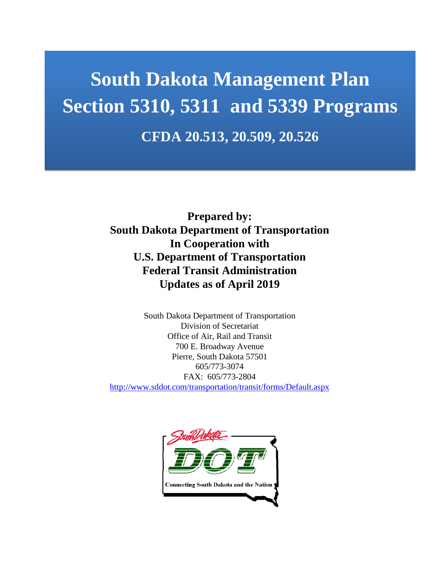# **South Dakota Management Plan Section 5310, 5311 and 5339 Programs CFDA 20.513, 20.509, 20.526**

**Prepared by: South Dakota Department of Transportation In Cooperation with U.S. Department of Transportation Federal Transit Administration Updates as of April 2019**

South Dakota Department of Transportation Division of Secretariat Office of Air, Rail and Transit 700 E. Broadway Avenue Pierre, South Dakota 57501 605/773-3074 FAX: 605/773-2804 <http://www.sddot.com/transportation/transit/forms/Default.aspx>

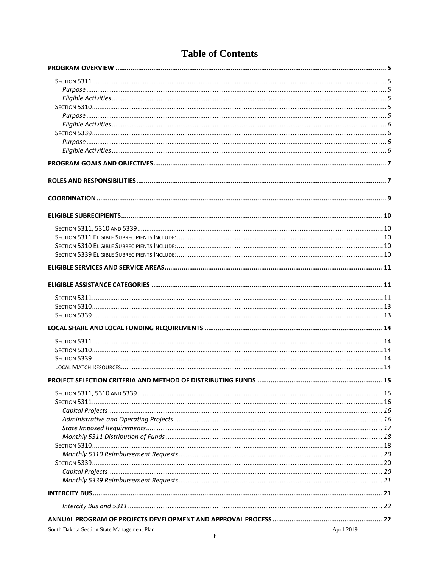# **Table of Contents**

| South Dakota Section State Management Plan | April 2010 |
|--------------------------------------------|------------|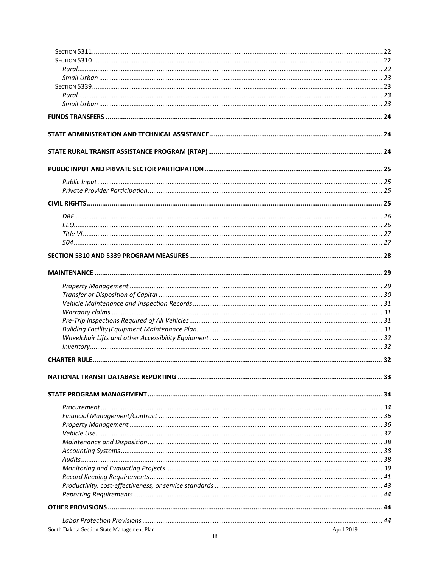| South Dakota Section State Management Plan<br>April 2019 |  |
|----------------------------------------------------------|--|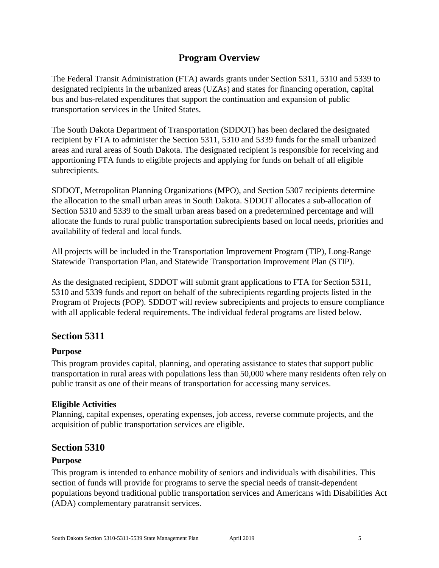# **Program Overview**

<span id="page-4-0"></span>The Federal Transit Administration (FTA) awards grants under Section 5311, 5310 and 5339 to designated recipients in the urbanized areas (UZAs) and states for financing operation, capital bus and bus-related expenditures that support the continuation and expansion of public transportation services in the United States.

The South Dakota Department of Transportation (SDDOT) has been declared the designated recipient by FTA to administer the Section 5311, 5310 and 5339 funds for the small urbanized areas and rural areas of South Dakota. The designated recipient is responsible for receiving and apportioning FTA funds to eligible projects and applying for funds on behalf of all eligible subrecipients.

SDDOT, Metropolitan Planning Organizations (MPO), and Section 5307 recipients determine the allocation to the small urban areas in South Dakota. SDDOT allocates a sub-allocation of Section 5310 and 5339 to the small urban areas based on a predetermined percentage and will allocate the funds to rural public transportation subrecipients based on local needs, priorities and availability of federal and local funds.

All projects will be included in the Transportation Improvement Program (TIP), Long-Range Statewide Transportation Plan, and Statewide Transportation Improvement Plan (STIP).

As the designated recipient, SDDOT will submit grant applications to FTA for Section 5311, 5310 and 5339 funds and report on behalf of the subrecipients regarding projects listed in the Program of Projects (POP). SDDOT will review subrecipients and projects to ensure compliance with all applicable federal requirements. The individual federal programs are listed below.

# <span id="page-4-1"></span>**Section 5311**

### <span id="page-4-2"></span>**Purpose**

This program provides capital, planning, and operating assistance to states that support public transportation in rural areas with populations less than 50,000 where many residents often rely on public transit as one of their means of transportation for accessing many services.

### <span id="page-4-3"></span>**Eligible Activities**

Planning, capital expenses, operating expenses, job access, reverse commute projects, and the acquisition of public transportation services are eligible.

# <span id="page-4-4"></span>**Section 5310**

### <span id="page-4-5"></span>**Purpose**

This program is intended to enhance mobility of seniors and individuals with disabilities. This section of funds will provide for programs to serve the special needs of transit-dependent populations beyond traditional public transportation services and Americans with Disabilities Act (ADA) complementary paratransit services.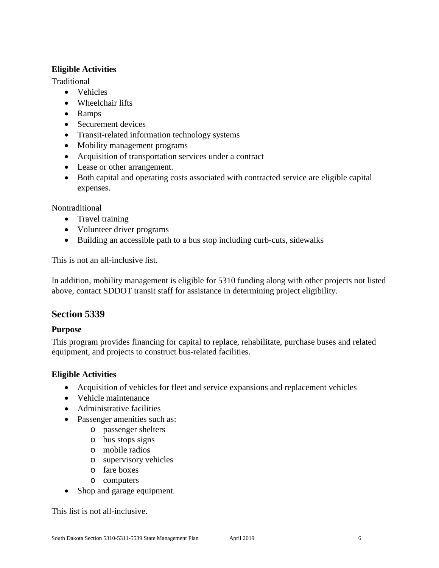### <span id="page-5-0"></span>**Eligible Activities**

Traditional

- Vehicles
- Wheelchair lifts
- Ramps
- Securement devices
- Transit-related information technology systems
- Mobility management programs
- Acquisition of transportation services under a contract
- Lease or other arrangement.
- Both capital and operating costs associated with contracted service are eligible capital expenses.

Nontraditional

- Travel training
- Volunteer driver programs
- Building an accessible path to a bus stop including curb-cuts, sidewalks

This is not an all-inclusive list.

In addition, mobility management is eligible for 5310 funding along with other projects not listed above, contact SDDOT transit staff for assistance in determining project eligibility.

# <span id="page-5-1"></span>**Section 5339**

# <span id="page-5-2"></span>**Purpose**

This program provides financing for capital to replace, rehabilitate, purchase buses and related equipment, and projects to construct bus-related facilities.

# <span id="page-5-3"></span>**Eligible Activities**

- Acquisition of vehicles for fleet and service expansions and replacement vehicles
- Vehicle maintenance
- Administrative facilities
- Passenger amenities such as:
	- o passenger shelters
	- o bus stops signs
	- o mobile radios
	- o supervisory vehicles
	- o fare boxes
	- o computers
- Shop and garage equipment.

This list is not all-inclusive.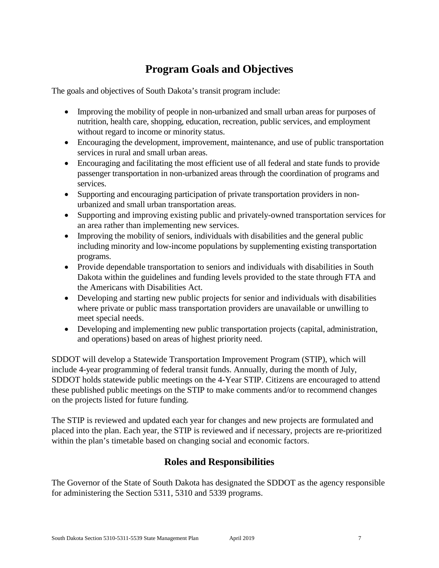# **Program Goals and Objectives**

<span id="page-6-0"></span>The goals and objectives of South Dakota's transit program include:

- Improving the mobility of people in non-urbanized and small urban areas for purposes of nutrition, health care, shopping, education, recreation, public services, and employment without regard to income or minority status.
- Encouraging the development, improvement, maintenance, and use of public transportation services in rural and small urban areas.
- Encouraging and facilitating the most efficient use of all federal and state funds to provide passenger transportation in non-urbanized areas through the coordination of programs and services.
- Supporting and encouraging participation of private transportation providers in nonurbanized and small urban transportation areas.
- Supporting and improving existing public and privately-owned transportation services for an area rather than implementing new services.
- Improving the mobility of seniors, individuals with disabilities and the general public including minority and low-income populations by supplementing existing transportation programs.
- Provide dependable transportation to seniors and individuals with disabilities in South Dakota within the guidelines and funding levels provided to the state through FTA and the Americans with Disabilities Act.
- Developing and starting new public projects for senior and individuals with disabilities where private or public mass transportation providers are unavailable or unwilling to meet special needs.
- Developing and implementing new public transportation projects (capital, administration, and operations) based on areas of highest priority need.

SDDOT will develop a Statewide Transportation Improvement Program (STIP), which will include 4-year programming of federal transit funds. Annually, during the month of July, SDDOT holds statewide public meetings on the 4-Year STIP. Citizens are encouraged to attend these published public meetings on the STIP to make comments and/or to recommend changes on the projects listed for future funding.

The STIP is reviewed and updated each year for changes and new projects are formulated and placed into the plan. Each year, the STIP is reviewed and if necessary, projects are re-prioritized within the plan's timetable based on changing social and economic factors.

# **Roles and Responsibilities**

<span id="page-6-1"></span>The Governor of the State of South Dakota has designated the SDDOT as the agency responsible for administering the Section 5311, 5310 and 5339 programs.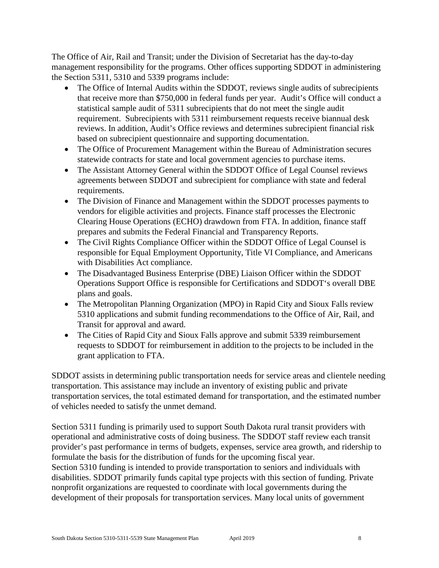The Office of Air, Rail and Transit; under the Division of Secretariat has the day-to-day management responsibility for the programs. Other offices supporting SDDOT in administering the Section 5311, 5310 and 5339 programs include:

- The Office of Internal Audits within the SDDOT, reviews single audits of subrecipients that receive more than \$750,000 in federal funds per year. Audit's Office will conduct a statistical sample audit of 5311 subrecipients that do not meet the single audit requirement. Subrecipients with 5311 reimbursement requests receive biannual desk reviews. In addition, Audit's Office reviews and determines subrecipient financial risk based on subrecipient questionnaire and supporting documentation.
- The Office of Procurement Management within the Bureau of Administration secures statewide contracts for state and local government agencies to purchase items.
- The Assistant Attorney General within the SDDOT Office of Legal Counsel reviews agreements between SDDOT and subrecipient for compliance with state and federal requirements.
- The Division of Finance and Management within the SDDOT processes payments to vendors for eligible activities and projects. Finance staff processes the Electronic Clearing House Operations (ECHO) drawdown from FTA. In addition, finance staff prepares and submits the Federal Financial and Transparency Reports.
- The Civil Rights Compliance Officer within the SDDOT Office of Legal Counsel is responsible for Equal Employment Opportunity, Title VI Compliance, and Americans with Disabilities Act compliance.
- The Disadvantaged Business Enterprise (DBE) Liaison Officer within the SDDOT Operations Support Office is responsible for Certifications and SDDOT's overall DBE plans and goals.
- The Metropolitan Planning Organization (MPO) in Rapid City and Sioux Falls review 5310 applications and submit funding recommendations to the Office of Air, Rail, and Transit for approval and award.
- The Cities of Rapid City and Sioux Falls approve and submit 5339 reimbursement requests to SDDOT for reimbursement in addition to the projects to be included in the grant application to FTA.

SDDOT assists in determining public transportation needs for service areas and clientele needing transportation. This assistance may include an inventory of existing public and private transportation services, the total estimated demand for transportation, and the estimated number of vehicles needed to satisfy the unmet demand.

Section 5311 funding is primarily used to support South Dakota rural transit providers with operational and administrative costs of doing business. The SDDOT staff review each transit provider's past performance in terms of budgets, expenses, service area growth, and ridership to formulate the basis for the distribution of funds for the upcoming fiscal year. Section 5310 funding is intended to provide transportation to seniors and individuals with disabilities. SDDOT primarily funds capital type projects with this section of funding. Private nonprofit organizations are requested to coordinate with local governments during the development of their proposals for transportation services. Many local units of government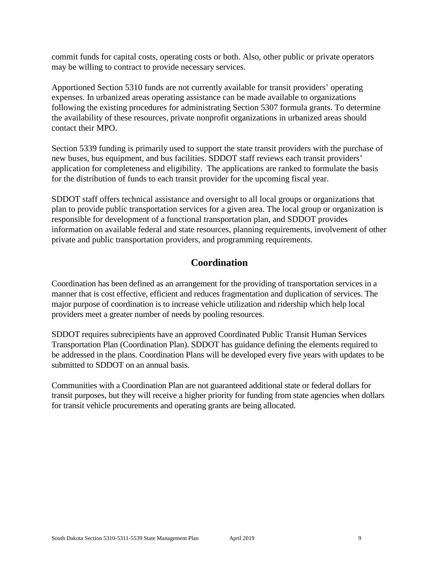commit funds for capital costs, operating costs or both. Also, other public or private operators may be willing to contract to provide necessary services.

Apportioned Section 5310 funds are not currently available for transit providers' operating expenses. In urbanized areas operating assistance can be made available to organizations following the existing procedures for administrating Section 5307 formula grants. To determine the availability of these resources, private nonprofit organizations in urbanized areas should contact their MPO.

Section 5339 funding is primarily used to support the state transit providers with the purchase of new buses, bus equipment, and bus facilities. SDDOT staff reviews each transit providers' application for completeness and eligibility. The applications are ranked to formulate the basis for the distribution of funds to each transit provider for the upcoming fiscal year.

SDDOT staff offers technical assistance and oversight to all local groups or organizations that plan to provide public transportation services for a given area. The local group or organization is responsible for development of a functional transportation plan, and SDDOT provides information on available federal and state resources, planning requirements, involvement of other private and public transportation providers, and programming requirements.

# **Coordination**

<span id="page-8-0"></span>Coordination has been defined as an arrangement for the providing of transportation services in a manner that is cost effective, efficient and reduces fragmentation and duplication of services. The major purpose of coordination is to increase vehicle utilization and ridership which help local providers meet a greater number of needs by pooling resources.

SDDOT requires subrecipients have an approved Coordinated Public Transit Human Services Transportation Plan (Coordination Plan). SDDOT has guidance defining the elements required to be addressed in the plans. Coordination Plans will be developed every five years with updates to be submitted to SDDOT on an annual basis.

Communities with a Coordination Plan are not guaranteed additional state or federal dollars for transit purposes, but they will receive a higher priority for funding from state agencies when dollars for transit vehicle procurements and operating grants are being allocated.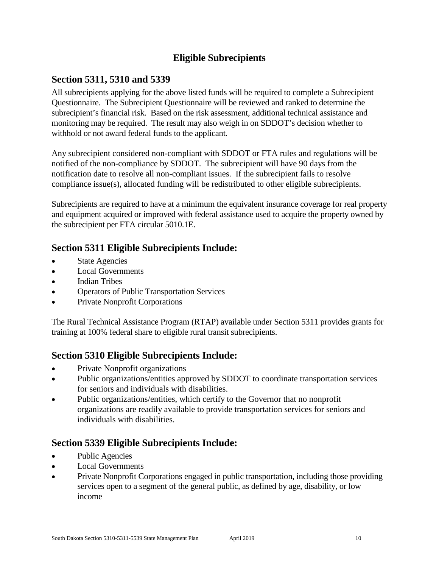# **Eligible Subrecipients**

# <span id="page-9-1"></span><span id="page-9-0"></span>**Section 5311, 5310 and 5339**

All subrecipients applying for the above listed funds will be required to complete a Subrecipient Questionnaire. The Subrecipient Questionnaire will be reviewed and ranked to determine the subrecipient's financial risk. Based on the risk assessment, additional technical assistance and monitoring may be required. The result may also weigh in on SDDOT's decision whether to withhold or not award federal funds to the applicant.

Any subrecipient considered non-compliant with SDDOT or FTA rules and regulations will be notified of the non-compliance by SDDOT. The subrecipient will have 90 days from the notification date to resolve all non-compliant issues. If the subrecipient fails to resolve compliance issue(s), allocated funding will be redistributed to other eligible subrecipients.

Subrecipients are required to have at a minimum the equivalent insurance coverage for real property and equipment acquired or improved with federal assistance used to acquire the property owned by the subrecipient per FTA circular 5010.1E.

# <span id="page-9-2"></span>**Section 5311 Eligible Subrecipients Include:**

- **State Agencies**
- Local Governments
- Indian Tribes
- Operators of Public Transportation Services
- Private Nonprofit Corporations

The Rural Technical Assistance Program (RTAP) available under Section 5311 provides grants for training at 100% federal share to eligible rural transit subrecipients.

# <span id="page-9-3"></span>**Section 5310 Eligible Subrecipients Include:**

- Private Nonprofit organizations
- Public organizations/entities approved by SDDOT to coordinate transportation services for seniors and individuals with disabilities.
- Public organizations/entities, which certify to the Governor that no nonprofit organizations are readily available to provide transportation services for seniors and individuals with disabilities.

# <span id="page-9-4"></span>**Section 5339 Eligible Subrecipients Include:**

- Public Agencies
- Local Governments
- Private Nonprofit Corporations engaged in public transportation, including those providing services open to a segment of the general public, as defined by age, disability, or low income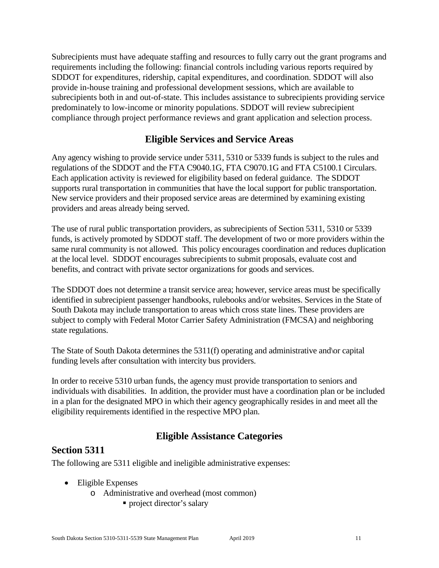Subrecipients must have adequate staffing and resources to fully carry out the grant programs and requirements including the following: financial controls including various reports required by SDDOT for expenditures, ridership, capital expenditures, and coordination. SDDOT will also provide in-house training and professional development sessions, which are available to subrecipients both in and out-of-state. This includes assistance to subrecipients providing service predominately to low-income or minority populations. SDDOT will review subrecipient compliance through project performance reviews and grant application and selection process.

# **Eligible Services and Service Areas**

<span id="page-10-0"></span>Any agency wishing to provide service under 5311, 5310 or 5339 funds is subject to the rules and regulations of the SDDOT and the FTA C9040.1G, FTA C9070.1G and FTA C5100.1 Circulars. Each application activity is reviewed for eligibility based on federal guidance. The SDDOT supports rural transportation in communities that have the local support for public transportation. New service providers and their proposed service areas are determined by examining existing providers and areas already being served.

The use of rural public transportation providers, as subrecipients of Section 5311, 5310 or 5339 funds, is actively promoted by SDDOT staff. The development of two or more providers within the same rural community is not allowed. This policy encourages coordination and reduces duplication at the local level. SDDOT encourages subrecipients to submit proposals, evaluate cost and benefits, and contract with private sector organizations for goods and services.

The SDDOT does not determine a transit service area; however, service areas must be specifically identified in subrecipient passenger handbooks, rulebooks and/or websites. Services in the State of South Dakota may include transportation to areas which cross state lines. These providers are subject to comply with Federal Motor Carrier Safety Administration (FMCSA) and neighboring state regulations.

The State of South Dakota determines the 5311(f) operating and administrative and\or capital funding levels after consultation with intercity bus providers.

In order to receive 5310 urban funds, the agency must provide transportation to seniors and individuals with disabilities. In addition, the provider must have a coordination plan or be included in a plan for the designated MPO in which their agency geographically resides in and meet all the eligibility requirements identified in the respective MPO plan.

# **Eligible Assistance Categories**

# <span id="page-10-2"></span><span id="page-10-1"></span>**Section 5311**

The following are 5311 eligible and ineligible administrative expenses:

- Eligible Expenses
	- o Administrative and overhead (most common)
		- **project director's salary**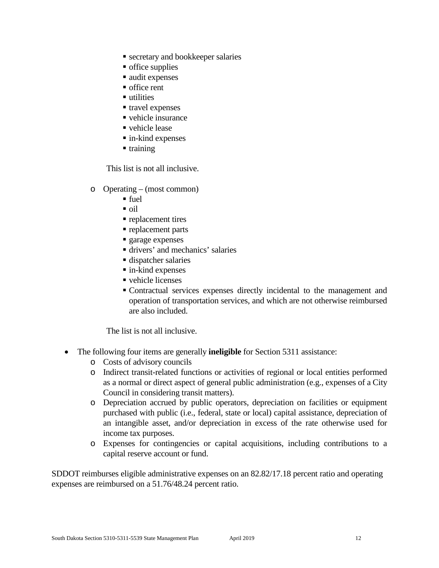- secretary and bookkeeper salaries
- **o** office supplies
- audit expenses
- office rent
- utilities
- travel expenses
- vehicle insurance
- vehicle lease
- in-kind expenses
- $\blacksquare$  training

This list is not all inclusive.

- o Operating (most common)
	- fuel
	- $\overline{\text{oil}}$
	- **replacement tires**
	- **replacement parts**
	- **garage expenses**
	- drivers' and mechanics' salaries
	- dispatcher salaries
	- in-kind expenses
	- vehicle licenses
	- Contractual services expenses directly incidental to the management and operation of transportation services, and which are not otherwise reimbursed are also included.

The list is not all inclusive.

- The following four items are generally **ineligible** for Section 5311 assistance:
	- o Costs of advisory councils
	- o Indirect transit-related functions or activities of regional or local entities performed as a normal or direct aspect of general public administration (e.g., expenses of a City Council in considering transit matters).
	- o Depreciation accrued by public operators, depreciation on facilities or equipment purchased with public (i.e., federal, state or local) capital assistance, depreciation of an intangible asset, and/or depreciation in excess of the rate otherwise used for income tax purposes.
	- o Expenses for contingencies or capital acquisitions, including contributions to a capital reserve account or fund.

SDDOT reimburses eligible administrative expenses on an 82.82/17.18 percent ratio and operating expenses are reimbursed on a 51.76/48.24 percent ratio.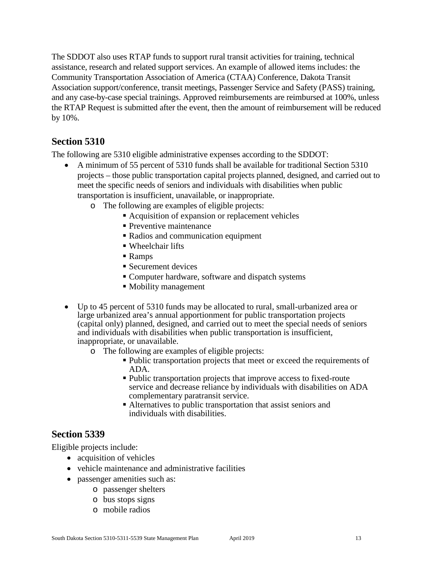The SDDOT also uses RTAP funds to support rural transit activities for training, technical assistance, research and related support services. An example of allowed items includes: the Community Transportation Association of America (CTAA) Conference, Dakota Transit Association support/conference, transit meetings, Passenger Service and Safety (PASS) training, and any case-by-case special trainings. Approved reimbursements are reimbursed at 100%, unless the RTAP Request is submitted after the event, then the amount of reimbursement will be reduced by 10%.

# <span id="page-12-0"></span>**Section 5310**

The following are 5310 eligible administrative expenses according to the SDDOT:

- A minimum of 55 percent of 5310 funds shall be available for traditional Section 5310 projects – those public transportation capital projects planned, designed, and carried out to meet the specific needs of seniors and individuals with disabilities when public transportation is insufficient, unavailable, or inappropriate.
	- o The following are examples of eligible projects:
		- Acquisition of expansion or replacement vehicles
		- **Preventive maintenance**
		- Radios and communication equipment
		- Wheelchair lifts
		- Ramps
		- Securement devices
		- Computer hardware, software and dispatch systems
		- Mobility management
- Up to 45 percent of 5310 funds may be allocated to rural, small-urbanized area or large urbanized area's annual apportionment for public transportation projects (capital only) planned, designed, and carried out to meet the special needs of seniors and individuals with disabilities when public transportation is insufficient, inappropriate, or unavailable.
	- o The following are examples of eligible projects:
		- Public transportation projects that meet or exceed the requirements of ADA.
		- Public transportation projects that improve access to fixed-route service and decrease reliance by individuals with disabilities on ADA complementary paratransit service.
		- Alternatives to public transportation that assist seniors and individuals with disabilities.

# <span id="page-12-1"></span>**Section 5339**

Eligible projects include:

- acquisition of vehicles
- vehicle maintenance and administrative facilities
- passenger amenities such as:
	- o passenger shelters
	- o bus stops signs
	- o mobile radios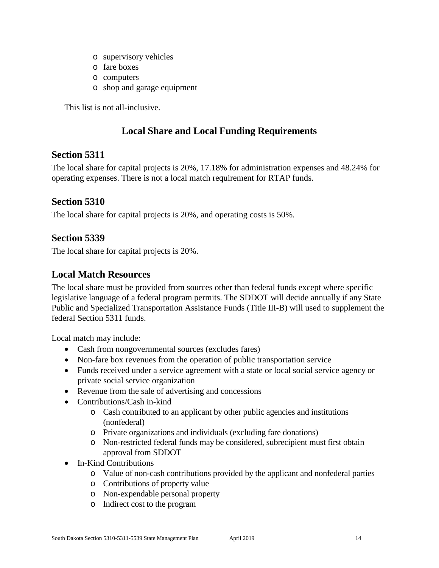- o supervisory vehicles
- o fare boxes
- o computers
- o shop and garage equipment

This list is not all-inclusive.

# **Local Share and Local Funding Requirements**

# <span id="page-13-1"></span><span id="page-13-0"></span>**Section 5311**

The local share for capital projects is 20%, 17.18% for administration expenses and 48.24% for operating expenses. There is not a local match requirement for RTAP funds.

# <span id="page-13-2"></span>**Section 5310**

The local share for capital projects is 20%, and operating costs is 50%.

# <span id="page-13-3"></span>**Section 5339**

The local share for capital projects is 20%.

# <span id="page-13-4"></span>**Local Match Resources**

The local share must be provided from sources other than federal funds except where specific legislative language of a federal program permits. The SDDOT will decide annually if any State Public and Specialized Transportation Assistance Funds (Title III-B) will used to supplement the federal Section 5311 funds.

Local match may include:

- Cash from nongovernmental sources (excludes fares)
- Non-fare box revenues from the operation of public transportation service
- Funds received under a service agreement with a state or local social service agency or private social service organization
- Revenue from the sale of advertising and concessions
- Contributions/Cash in-kind
	- o Cash contributed to an applicant by other public agencies and institutions (nonfederal)
	- o Private organizations and individuals (excluding fare donations)
	- o Non-restricted federal funds may be considered, subrecipient must first obtain approval from SDDOT
- In-Kind Contributions
	- o Value of non-cash contributions provided by the applicant and nonfederal parties
	- o Contributions of property value
	- o Non-expendable personal property
	- o Indirect cost to the program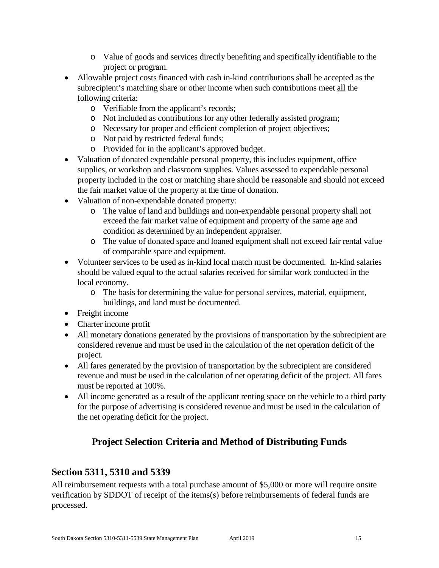- o Value of goods and services directly benefiting and specifically identifiable to the project or program.
- Allowable project costs financed with cash in-kind contributions shall be accepted as the subrecipient's matching share or other income when such contributions meet all the following criteria:
	- o Verifiable from the applicant's records;
	- o Not included as contributions for any other federally assisted program;
	- o Necessary for proper and efficient completion of project objectives;
	- o Not paid by restricted federal funds;
	- o Provided for in the applicant's approved budget.
- Valuation of donated expendable personal property, this includes equipment, office supplies, or workshop and classroom supplies. Values assessed to expendable personal property included in the cost or matching share should be reasonable and should not exceed the fair market value of the property at the time of donation.
- Valuation of non-expendable donated property:
	- o The value of land and buildings and non-expendable personal property shall not exceed the fair market value of equipment and property of the same age and condition as determined by an independent appraiser.
	- o The value of donated space and loaned equipment shall not exceed fair rental value of comparable space and equipment.
- Volunteer services to be used as in-kind local match must be documented. In-kind salaries should be valued equal to the actual salaries received for similar work conducted in the local economy.
	- o The basis for determining the value for personal services, material, equipment, buildings, and land must be documented.
- Freight income
- Charter income profit
- All monetary donations generated by the provisions of transportation by the subrecipient are considered revenue and must be used in the calculation of the net operation deficit of the project.
- All fares generated by the provision of transportation by the subrecipient are considered revenue and must be used in the calculation of net operating deficit of the project. All fares must be reported at 100%.
- All income generated as a result of the applicant renting space on the vehicle to a third party for the purpose of advertising is considered revenue and must be used in the calculation of the net operating deficit for the project.

# **Project Selection Criteria and Method of Distributing Funds**

# <span id="page-14-1"></span><span id="page-14-0"></span>**Section 5311, 5310 and 5339**

All reimbursement requests with a total purchase amount of \$5,000 or more will require onsite verification by SDDOT of receipt of the items(s) before reimbursements of federal funds are processed.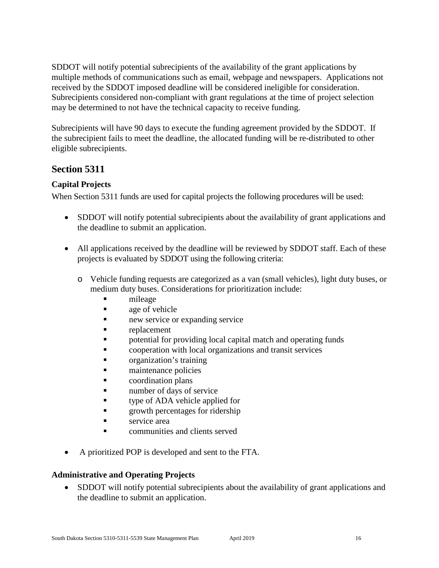SDDOT will notify potential subrecipients of the availability of the grant applications by multiple methods of communications such as email, webpage and newspapers. Applications not received by the SDDOT imposed deadline will be considered ineligible for consideration. Subrecipients considered non-compliant with grant regulations at the time of project selection may be determined to not have the technical capacity to receive funding.

Subrecipients will have 90 days to execute the funding agreement provided by the SDDOT. If the subrecipient fails to meet the deadline, the allocated funding will be re-distributed to other eligible subrecipients.

# <span id="page-15-0"></span>**Section 5311**

# <span id="page-15-1"></span>**Capital Projects**

When Section 5311 funds are used for capital projects the following procedures will be used:

- SDDOT will notify potential subrecipients about the availability of grant applications and the deadline to submit an application.
- All applications received by the deadline will be reviewed by SDDOT staff. Each of these projects is evaluated by SDDOT using the following criteria:
	- o Vehicle funding requests are categorized as a van (small vehicles), light duty buses, or medium duty buses. Considerations for prioritization include:
		- mileage
		- **age of vehicle**
		- new service or expanding service
		- **replacement**
		- potential for providing local capital match and operating funds
		- **Example 2** cooperation with local organizations and transit services
		- organization's training
		- maintenance policies
		- coordination plans
		- number of days of service
		- **type of ADA vehicle applied for**
		- **Example 1** growth percentages for ridership
		- service area
		- communities and clients served
- A prioritized POP is developed and sent to the FTA.

### <span id="page-15-2"></span>**Administrative and Operating Projects**

• SDDOT will notify potential subrecipients about the availability of grant applications and the deadline to submit an application.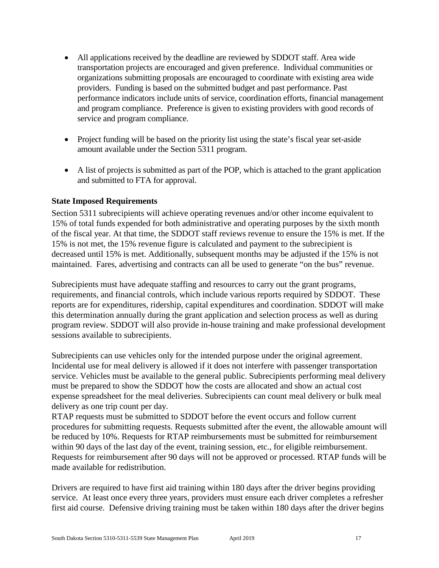- All applications received by the deadline are reviewed by SDDOT staff. Area wide transportation projects are encouraged and given preference. Individual communities or organizations submitting proposals are encouraged to coordinate with existing area wide providers. Funding is based on the submitted budget and past performance. Past performance indicators include units of service, coordination efforts, financial management and program compliance. Preference is given to existing providers with good records of service and program compliance.
- Project funding will be based on the priority list using the state's fiscal year set-aside amount available under the Section 5311 program.
- A list of projects is submitted as part of the POP, which is attached to the grant application and submitted to FTA for approval.

#### <span id="page-16-0"></span>**State Imposed Requirements**

Section 5311 subrecipients will achieve operating revenues and/or other income equivalent to 15% of total funds expended for both administrative and operating purposes by the sixth month of the fiscal year. At that time, the SDDOT staff reviews revenue to ensure the 15% is met. If the 15% is not met, the 15% revenue figure is calculated and payment to the subrecipient is decreased until 15% is met. Additionally, subsequent months may be adjusted if the 15% is not maintained. Fares, advertising and contracts can all be used to generate "on the bus" revenue.

Subrecipients must have adequate staffing and resources to carry out the grant programs, requirements, and financial controls, which include various reports required by SDDOT. These reports are for expenditures, ridership, capital expenditures and coordination. SDDOT will make this determination annually during the grant application and selection process as well as during program review. SDDOT will also provide in-house training and make professional development sessions available to subrecipients.

Subrecipients can use vehicles only for the intended purpose under the original agreement. Incidental use for meal delivery is allowed if it does not interfere with passenger transportation service. Vehicles must be available to the general public. Subrecipients performing meal delivery must be prepared to show the SDDOT how the costs are allocated and show an actual cost expense spreadsheet for the meal deliveries. Subrecipients can count meal delivery or bulk meal delivery as one trip count per day.

RTAP requests must be submitted to SDDOT before the event occurs and follow current procedures for submitting requests. Requests submitted after the event, the allowable amount will be reduced by 10%. Requests for RTAP reimbursements must be submitted for reimbursement within 90 days of the last day of the event, training session, etc., for eligible reimbursement. Requests for reimbursement after 90 days will not be approved or processed. RTAP funds will be made available for redistribution.

Drivers are required to have first aid training within 180 days after the driver begins providing service. At least once every three years, providers must ensure each driver completes a refresher first aid course. Defensive driving training must be taken within 180 days after the driver begins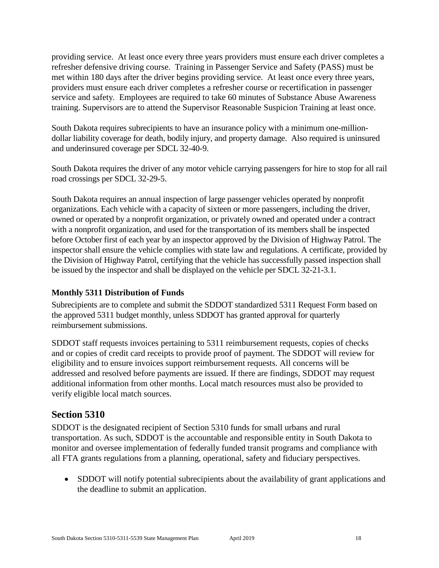providing service. At least once every three years providers must ensure each driver completes a refresher defensive driving course. Training in Passenger Service and Safety (PASS) must be met within 180 days after the driver begins providing service. At least once every three years, providers must ensure each driver completes a refresher course or recertification in passenger service and safety. Employees are required to take 60 minutes of Substance Abuse Awareness training. Supervisors are to attend the Supervisor Reasonable Suspicion Training at least once.

South Dakota requires subrecipients to have an insurance policy with a minimum one-milliondollar liability coverage for death, bodily injury, and property damage. Also required is uninsured and underinsured coverage per SDCL 32-40-9.

South Dakota requires the driver of any motor vehicle carrying passengers for hire to stop for all rail road crossings per SDCL 32-29-5.

South Dakota requires an annual inspection of large passenger vehicles operated by nonprofit organizations. Each vehicle with a capacity of sixteen or more passengers, including the driver, owned or operated by a nonprofit organization, or privately owned and operated under a contract with a nonprofit organization, and used for the transportation of its members shall be inspected before October first of each year by an inspector approved by the Division of Highway Patrol. The inspector shall ensure the vehicle complies with state law and regulations. A certificate, provided by the Division of Highway Patrol, certifying that the vehicle has successfully passed inspection shall be issued by the inspector and shall be displayed on the vehicle per SDCL 32-21-3.1.

### <span id="page-17-0"></span>**Monthly 5311 Distribution of Funds**

Subrecipients are to complete and submit the SDDOT standardized 5311 Request Form based on the approved 5311 budget monthly, unless SDDOT has granted approval for quarterly reimbursement submissions.

SDDOT staff requests invoices pertaining to 5311 reimbursement requests, copies of checks and or copies of credit card receipts to provide proof of payment. The SDDOT will review for eligibility and to ensure invoices support reimbursement requests. All concerns will be addressed and resolved before payments are issued. If there are findings, SDDOT may request additional information from other months. Local match resources must also be provided to verify eligible local match sources.

# <span id="page-17-1"></span>**Section 5310**

SDDOT is the designated recipient of Section 5310 funds for small urbans and rural transportation. As such, SDDOT is the accountable and responsible entity in South Dakota to monitor and oversee implementation of federally funded transit programs and compliance with all FTA grants regulations from a planning, operational, safety and fiduciary perspectives.

• SDDOT will notify potential subrecipients about the availability of grant applications and the deadline to submit an application.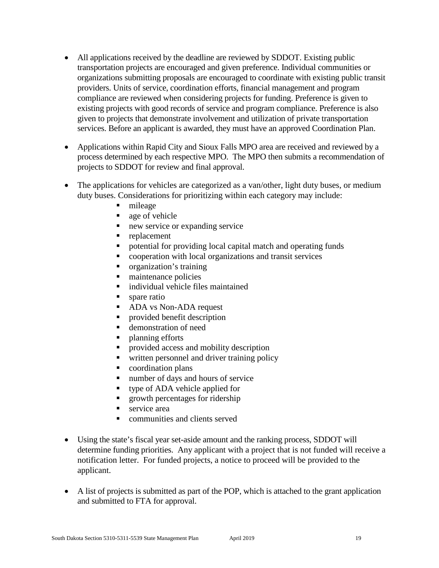- All applications received by the deadline are reviewed by SDDOT. Existing public transportation projects are encouraged and given preference. Individual communities or organizations submitting proposals are encouraged to coordinate with existing public transit providers. Units of service, coordination efforts, financial management and program compliance are reviewed when considering projects for funding. Preference is given to existing projects with good records of service and program compliance. Preference is also given to projects that demonstrate involvement and utilization of private transportation services. Before an applicant is awarded, they must have an approved Coordination Plan.
- Applications within Rapid City and Sioux Falls MPO area are received and reviewed by a process determined by each respective MPO. The MPO then submits a recommendation of projects to SDDOT for review and final approval.
- The applications for vehicles are categorized as a van/other, light duty buses, or medium duty buses. Considerations for prioritizing within each category may include:
	- mileage
	- **age of vehicle**
	- new service or expanding service
	- replacement
	- potential for providing local capital match and operating funds
	- cooperation with local organizations and transit services
	- **•** organization's training
	- maintenance policies
	- **i** individual vehicle files maintained
	- spare ratio
	- ADA vs Non-ADA request
	- **Provided benefit description**
	- demonstration of need
	- planning efforts
	- **Perovided access and mobility description**
	- written personnel and driver training policy
	- coordination plans
	- number of days and hours of service
	- type of ADA vehicle applied for
	- **growth percentages for ridership**
	- service area
	- communities and clients served
- Using the state's fiscal year set-aside amount and the ranking process, SDDOT will determine funding priorities. Any applicant with a project that is not funded will receive a notification letter. For funded projects, a notice to proceed will be provided to the applicant.
- A list of projects is submitted as part of the POP, which is attached to the grant application and submitted to FTA for approval.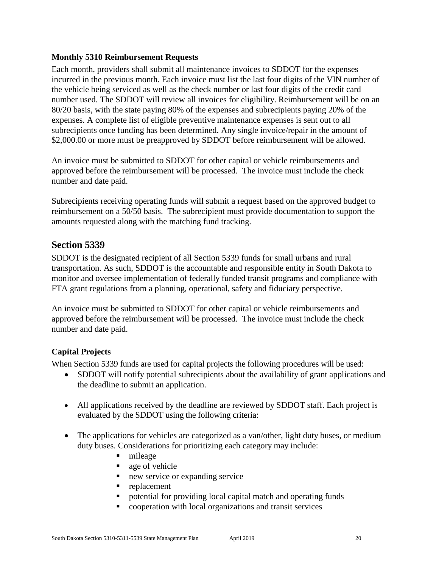### <span id="page-19-0"></span>**Monthly 5310 Reimbursement Requests**

Each month, providers shall submit all maintenance invoices to SDDOT for the expenses incurred in the previous month. Each invoice must list the last four digits of the VIN number of the vehicle being serviced as well as the check number or last four digits of the credit card number used. The SDDOT will review all invoices for eligibility. Reimbursement will be on an 80/20 basis, with the state paying 80% of the expenses and subrecipients paying 20% of the expenses. A complete list of eligible preventive maintenance expenses is sent out to all subrecipients once funding has been determined. Any single invoice/repair in the amount of \$2,000.00 or more must be preapproved by SDDOT before reimbursement will be allowed.

An invoice must be submitted to SDDOT for other capital or vehicle reimbursements and approved before the reimbursement will be processed. The invoice must include the check number and date paid.

Subrecipients receiving operating funds will submit a request based on the approved budget to reimbursement on a 50/50 basis. The subrecipient must provide documentation to support the amounts requested along with the matching fund tracking.

# <span id="page-19-1"></span>**Section 5339**

SDDOT is the designated recipient of all Section 5339 funds for small urbans and rural transportation. As such, SDDOT is the accountable and responsible entity in South Dakota to monitor and oversee implementation of federally funded transit programs and compliance with FTA grant regulations from a planning, operational, safety and fiduciary perspective.

An invoice must be submitted to SDDOT for other capital or vehicle reimbursements and approved before the reimbursement will be processed. The invoice must include the check number and date paid.

### <span id="page-19-2"></span>**Capital Projects**

When Section 5339 funds are used for capital projects the following procedures will be used:

- SDDOT will notify potential subrecipients about the availability of grant applications and the deadline to submit an application.
- All applications received by the deadline are reviewed by SDDOT staff. Each project is evaluated by the SDDOT using the following criteria:
- The applications for vehicles are categorized as a van/other, light duty buses, or medium duty buses. Considerations for prioritizing each category may include:
	- $l$  mileage
	- age of vehicle
	- new service or expanding service
	- **•** replacement
	- potential for providing local capital match and operating funds
	- cooperation with local organizations and transit services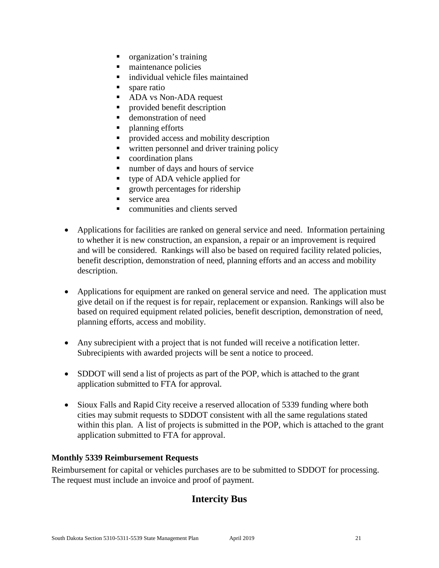- organization's training
- maintenance policies
- $\blacksquare$  individual vehicle files maintained
- spare ratio
- ADA vs Non-ADA request
- **Provided benefit description**
- demonstration of need
- planning efforts
- **•** provided access and mobility description
- written personnel and driver training policy
- coordination plans
- number of days and hours of service
- type of ADA vehicle applied for
- **growth percentages for ridership**
- service area
- communities and clients served
- Applications for facilities are ranked on general service and need. Information pertaining to whether it is new construction, an expansion, a repair or an improvement is required and will be considered. Rankings will also be based on required facility related policies, benefit description, demonstration of need, planning efforts and an access and mobility description.
- Applications for equipment are ranked on general service and need. The application must give detail on if the request is for repair, replacement or expansion. Rankings will also be based on required equipment related policies, benefit description, demonstration of need, planning efforts, access and mobility.
- Any subrecipient with a project that is not funded will receive a notification letter. Subrecipients with awarded projects will be sent a notice to proceed.
- SDDOT will send a list of projects as part of the POP, which is attached to the grant application submitted to FTA for approval.
- Sioux Falls and Rapid City receive a reserved allocation of 5339 funding where both cities may submit requests to SDDOT consistent with all the same regulations stated within this plan. A list of projects is submitted in the POP, which is attached to the grant application submitted to FTA for approval.

### <span id="page-20-0"></span>**Monthly 5339 Reimbursement Requests**

<span id="page-20-1"></span>Reimbursement for capital or vehicles purchases are to be submitted to SDDOT for processing. The request must include an invoice and proof of payment.

# **Intercity Bus**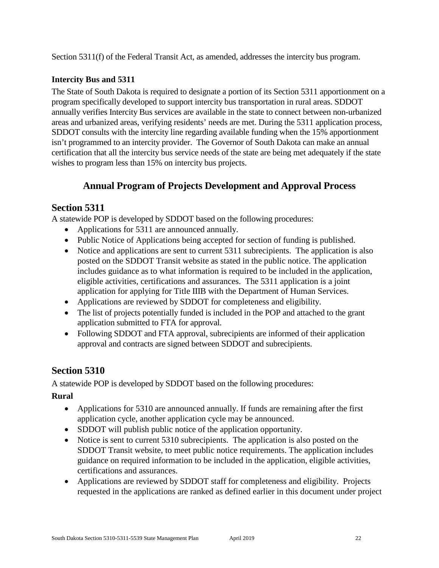Section 5311(f) of the Federal Transit Act, as amended, addresses the intercity bus program.

### <span id="page-21-0"></span>**Intercity Bus and 5311**

The State of South Dakota is required to designate a portion of its Section 5311 apportionment on a program specifically developed to support intercity bus transportation in rural areas. SDDOT annually verifies Intercity Bus services are available in the state to connect between non-urbanized areas and urbanized areas, verifying residents' needs are met. During the 5311 application process, SDDOT consults with the intercity line regarding available funding when the 15% apportionment isn't programmed to an intercity provider. The Governor of South Dakota can make an annual certification that all the intercity bus service needs of the state are being met adequately if the state wishes to program less than 15% on intercity bus projects.

# **Annual Program of Projects Development and Approval Process**

# <span id="page-21-2"></span><span id="page-21-1"></span>**Section 5311**

A statewide POP is developed by SDDOT based on the following procedures:

- Applications for 5311 are announced annually.
- Public Notice of Applications being accepted for section of funding is published.
- Notice and applications are sent to current 5311 subrecipients. The application is also posted on the SDDOT Transit website as stated in the public notice. The application includes guidance as to what information is required to be included in the application, eligible activities, certifications and assurances. The 5311 application is a joint application for applying for Title IIIB with the Department of Human Services.
- Applications are reviewed by SDDOT for completeness and eligibility.
- The list of projects potentially funded is included in the POP and attached to the grant application submitted to FTA for approval.
- Following SDDOT and FTA approval, subrecipients are informed of their application approval and contracts are signed between SDDOT and subrecipients.

# <span id="page-21-3"></span>**Section 5310**

A statewide POP is developed by SDDOT based on the following procedures:

### <span id="page-21-4"></span>**Rural**

- Applications for 5310 are announced annually. If funds are remaining after the first application cycle, another application cycle may be announced.
- SDDOT will publish public notice of the application opportunity.
- Notice is sent to current 5310 subrecipients. The application is also posted on the SDDOT Transit website, to meet public notice requirements. The application includes guidance on required information to be included in the application, eligible activities, certifications and assurances.
- Applications are reviewed by SDDOT staff for completeness and eligibility. Projects requested in the applications are ranked as defined earlier in this document under project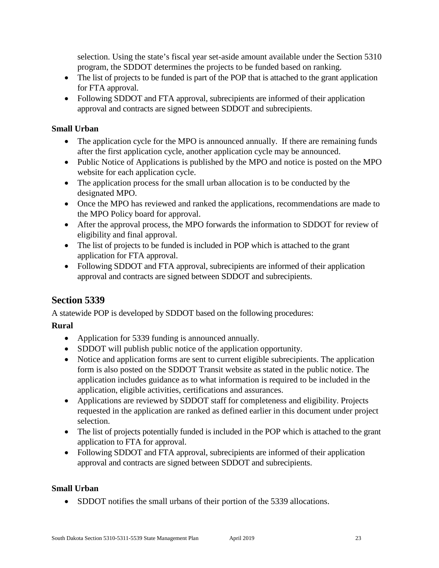selection. Using the state's fiscal year set-aside amount available under the Section 5310 program, the SDDOT determines the projects to be funded based on ranking.

- The list of projects to be funded is part of the POP that is attached to the grant application for FTA approval.
- Following SDDOT and FTA approval, subrecipients are informed of their application approval and contracts are signed between SDDOT and subrecipients.

# <span id="page-22-0"></span>**Small Urban**

- The application cycle for the MPO is announced annually. If there are remaining funds after the first application cycle, another application cycle may be announced.
- Public Notice of Applications is published by the MPO and notice is posted on the MPO website for each application cycle.
- The application process for the small urban allocation is to be conducted by the designated MPO.
- Once the MPO has reviewed and ranked the applications, recommendations are made to the MPO Policy board for approval.
- After the approval process, the MPO forwards the information to SDDOT for review of eligibility and final approval.
- The list of projects to be funded is included in POP which is attached to the grant application for FTA approval.
- Following SDDOT and FTA approval, subrecipients are informed of their application approval and contracts are signed between SDDOT and subrecipients.

# <span id="page-22-1"></span>**Section 5339**

A statewide POP is developed by SDDOT based on the following procedures:

# <span id="page-22-2"></span>**Rural**

- Application for 5339 funding is announced annually.
- SDDOT will publish public notice of the application opportunity.
- Notice and application forms are sent to current eligible subrecipients. The application form is also posted on the SDDOT Transit website as stated in the public notice. The application includes guidance as to what information is required to be included in the application, eligible activities, certifications and assurances.
- Applications are reviewed by SDDOT staff for completeness and eligibility. Projects requested in the application are ranked as defined earlier in this document under project selection.
- The list of projects potentially funded is included in the POP which is attached to the grant application to FTA for approval.
- Following SDDOT and FTA approval, subrecipients are informed of their application approval and contracts are signed between SDDOT and subrecipients.

# <span id="page-22-3"></span>**Small Urban**

• SDDOT notifies the small urbans of their portion of the 5339 allocations.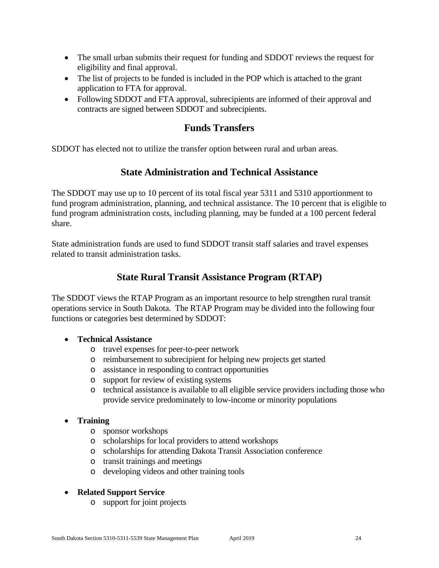- The small urban submits their request for funding and SDDOT reviews the request for eligibility and final approval.
- The list of projects to be funded is included in the POP which is attached to the grant application to FTA for approval.
- Following SDDOT and FTA approval, subrecipients are informed of their approval and contracts are signed between SDDOT and subrecipients.

# **Funds Transfers**

<span id="page-23-1"></span><span id="page-23-0"></span>SDDOT has elected not to utilize the transfer option between rural and urban areas.

# **State Administration and Technical Assistance**

The SDDOT may use up to 10 percent of its total fiscal year 5311 and 5310 apportionment to fund program administration, planning, and technical assistance. The 10 percent that is eligible to fund program administration costs, including planning, may be funded at a 100 percent federal share.

State administration funds are used to fund SDDOT transit staff salaries and travel expenses related to transit administration tasks.

# **State Rural Transit Assistance Program (RTAP)**

<span id="page-23-2"></span>The SDDOT views the RTAP Program as an important resource to help strengthen rural transit operations service in South Dakota. The RTAP Program may be divided into the following four functions or categories best determined by SDDOT:

### • **Technical Assistance**

- o travel expenses for peer-to-peer network
- o reimbursement to subrecipient for helping new projects get started
- o assistance in responding to contract opportunities
- o support for review of existing systems
- o technical assistance is available to all eligible service providers including those who provide service predominately to low-income or minority populations

# • **Training**

- o sponsor workshops
- o scholarships for local providers to attend workshops
- o scholarships for attending Dakota Transit Association conference
- o transit trainings and meetings
- o developing videos and other training tools

### • **Related Support Service**

o support for joint projects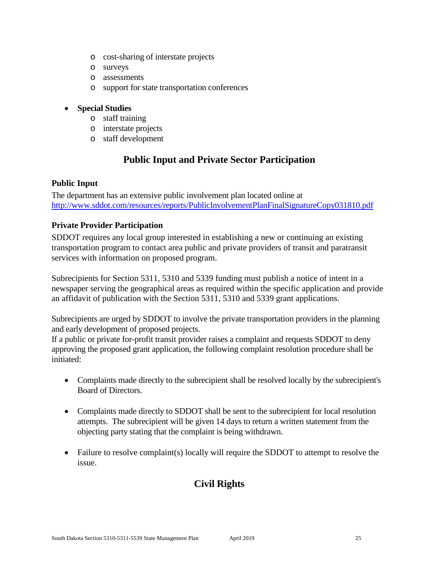- o cost-sharing of interstate projects
- o surveys
- o assessments
- o support for state transportation conferences

#### • **Special Studies**

- o staff training
- o interstate projects
- o staff development

# **Public Input and Private Sector Participation**

#### <span id="page-24-1"></span><span id="page-24-0"></span>**Public Input**

The department has an extensive public involvement plan located online at <http://www.sddot.com/resources/reports/PublicInvolvementPlanFinalSignatureCopy031810.pdf>

#### <span id="page-24-2"></span>**Private Provider Participation**

SDDOT requires any local group interested in establishing a new or continuing an existing transportation program to contact area public and private providers of transit and paratransit services with information on proposed program.

Subrecipients for Section 5311, 5310 and 5339 funding must publish a notice of intent in a newspaper serving the geographical areas as required within the specific application and provide an affidavit of publication with the Section 5311, 5310 and 5339 grant applications.

Subrecipients are urged by SDDOT to involve the private transportation providers in the planning and early development of proposed projects.

If a public or private for-profit transit provider raises a complaint and requests SDDOT to deny approving the proposed grant application, the following complaint resolution procedure shall be initiated:

- Complaints made directly to the subrecipient shall be resolved locally by the subrecipient's Board of Directors.
- Complaints made directly to SDDOT shall be sent to the subrecipient for local resolution attempts. The subrecipient will be given 14 days to return a written statement from the objecting party stating that the complaint is being withdrawn.
- <span id="page-24-3"></span>• Failure to resolve complaint(s) locally will require the SDDOT to attempt to resolve the issue.

# **Civil Rights**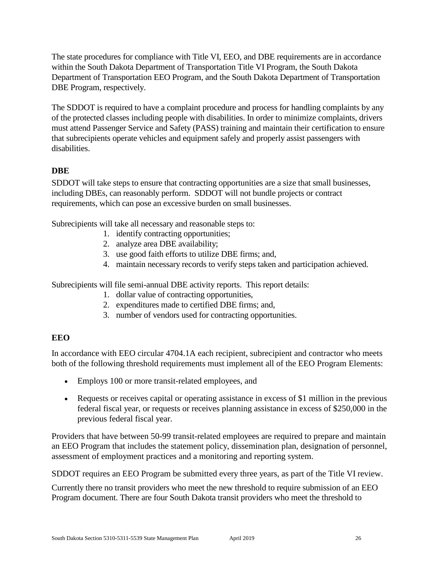The state procedures for compliance with Title VI, EEO, and DBE requirements are in accordance within the South Dakota Department of Transportation Title VI Program, the South Dakota Department of Transportation EEO Program, and the South Dakota Department of Transportation DBE Program, respectively.

The SDDOT is required to have a complaint procedure and process for handling complaints by any of the protected classes including people with disabilities. In order to minimize complaints, drivers must attend Passenger Service and Safety (PASS) training and maintain their certification to ensure that subrecipients operate vehicles and equipment safely and properly assist passengers with disabilities.

# <span id="page-25-0"></span>**DBE**

SDDOT will take steps to ensure that contracting opportunities are a size that small businesses, including DBEs, can reasonably perform. SDDOT will not bundle projects or contract requirements, which can pose an excessive burden on small businesses.

Subrecipients will take all necessary and reasonable steps to:

- 1. identify contracting opportunities;
- 2. analyze area DBE availability;
- 3. use good faith efforts to utilize DBE firms; and,
- 4. maintain necessary records to verify steps taken and participation achieved.

Subrecipients will file semi-annual DBE activity reports. This report details:

- 1. dollar value of contracting opportunities,
- 2. expenditures made to certified DBE firms; and,
- 3. number of vendors used for contracting opportunities.

# <span id="page-25-1"></span>**EEO**

In accordance with EEO circular 4704.1A each recipient, subrecipient and contractor who meets both of the following threshold requirements must implement all of the EEO Program Elements:

- Employs 100 or more transit-related employees, and
- Requests or receives capital or operating assistance in excess of \$1 million in the previous federal fiscal year, or requests or receives planning assistance in excess of \$250,000 in the previous federal fiscal year.

Providers that have between 50-99 transit-related employees are required to prepare and maintain an EEO Program that includes the statement policy, dissemination plan, designation of personnel, assessment of employment practices and a monitoring and reporting system.

SDDOT requires an EEO Program be submitted every three years, as part of the Title VI review.

Currently there no transit providers who meet the new threshold to require submission of an EEO Program document. There are four South Dakota transit providers who meet the threshold to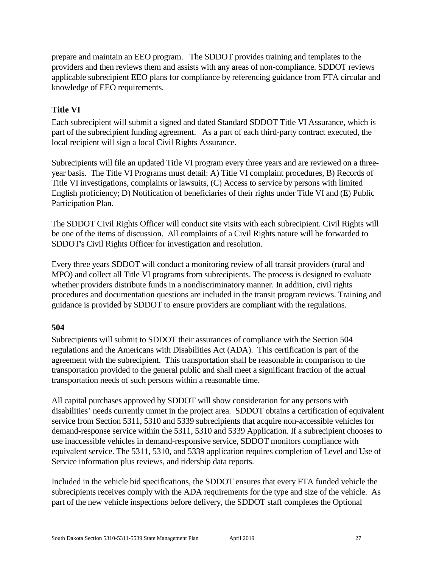prepare and maintain an EEO program. The SDDOT provides training and templates to the providers and then reviews them and assists with any areas of non-compliance. SDDOT reviews applicable subrecipient EEO plans for compliance by referencing guidance from FTA circular and knowledge of EEO requirements.

# <span id="page-26-0"></span>**Title VI**

Each subrecipient will submit a signed and dated Standard SDDOT Title VI Assurance, which is part of the subrecipient funding agreement. As a part of each third-party contract executed, the local recipient will sign a local Civil Rights Assurance.

Subrecipients will file an updated Title VI program every three years and are reviewed on a threeyear basis. The Title VI Programs must detail: A) Title VI complaint procedures, B) Records of Title VI investigations, complaints or lawsuits, (C) Access to service by persons with limited English proficiency; D) Notification of beneficiaries of their rights under Title VI and (E) Public Participation Plan.

The SDDOT Civil Rights Officer will conduct site visits with each subrecipient. Civil Rights will be one of the items of discussion. All complaints of a Civil Rights nature will be forwarded to SDDOT's Civil Rights Officer for investigation and resolution.

Every three years SDDOT will conduct a monitoring review of all transit providers (rural and MPO) and collect all Title VI programs from subrecipients. The process is designed to evaluate whether providers distribute funds in a nondiscriminatory manner. In addition, civil rights procedures and documentation questions are included in the transit program reviews. Training and guidance is provided by SDDOT to ensure providers are compliant with the regulations.

### <span id="page-26-1"></span>**504**

Subrecipients will submit to SDDOT their assurances of compliance with the Section 504 regulations and the Americans with Disabilities Act (ADA). This certification is part of the agreement with the subrecipient. This transportation shall be reasonable in comparison to the transportation provided to the general public and shall meet a significant fraction of the actual transportation needs of such persons within a reasonable time.

All capital purchases approved by SDDOT will show consideration for any persons with disabilities' needs currently unmet in the project area. SDDOT obtains a certification of equivalent service from Section 5311, 5310 and 5339 subrecipients that acquire non-accessible vehicles for demand-response service within the 5311, 5310 and 5339 Application. If a subrecipient chooses to use inaccessible vehicles in demand-responsive service, SDDOT monitors compliance with equivalent service. The 5311, 5310, and 5339 application requires completion of Level and Use of Service information plus reviews, and ridership data reports.

Included in the vehicle bid specifications, the SDDOT ensures that every FTA funded vehicle the subrecipients receives comply with the ADA requirements for the type and size of the vehicle. As part of the new vehicle inspections before delivery, the SDDOT staff completes the Optional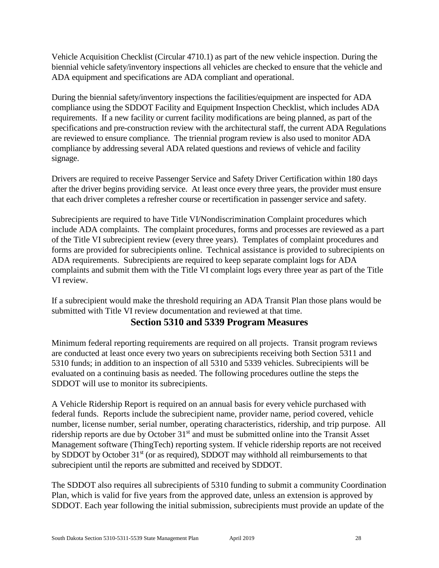Vehicle Acquisition Checklist (Circular 4710.1) as part of the new vehicle inspection. During the biennial vehicle safety/inventory inspections all vehicles are checked to ensure that the vehicle and ADA equipment and specifications are ADA compliant and operational.

During the biennial safety/inventory inspections the facilities/equipment are inspected for ADA compliance using the SDDOT Facility and Equipment Inspection Checklist, which includes ADA requirements. If a new facility or current facility modifications are being planned, as part of the specifications and pre-construction review with the architectural staff, the current ADA Regulations are reviewed to ensure compliance. The triennial program review is also used to monitor ADA compliance by addressing several ADA related questions and reviews of vehicle and facility signage.

Drivers are required to receive Passenger Service and Safety Driver Certification within 180 days after the driver begins providing service. At least once every three years, the provider must ensure that each driver completes a refresher course or recertification in passenger service and safety.

Subrecipients are required to have Title VI/Nondiscrimination Complaint procedures which include ADA complaints. The complaint procedures, forms and processes are reviewed as a part of the Title VI subrecipient review (every three years). Templates of complaint procedures and forms are provided for subrecipients online. Technical assistance is provided to subrecipients on ADA requirements. Subrecipients are required to keep separate complaint logs for ADA complaints and submit them with the Title VI complaint logs every three year as part of the Title VI review.

<span id="page-27-0"></span>If a subrecipient would make the threshold requiring an ADA Transit Plan those plans would be submitted with Title VI review documentation and reviewed at that time.

# **Section 5310 and 5339 Program Measures**

Minimum federal reporting requirements are required on all projects. Transit program reviews are conducted at least once every two years on subrecipients receiving both Section 5311 and 5310 funds; in addition to an inspection of all 5310 and 5339 vehicles. Subrecipients will be evaluated on a continuing basis as needed. The following procedures outline the steps the SDDOT will use to monitor its subrecipients.

A Vehicle Ridership Report is required on an annual basis for every vehicle purchased with federal funds. Reports include the subrecipient name, provider name, period covered, vehicle number, license number, serial number, operating characteristics, ridership, and trip purpose. All ridership reports are due by October 31<sup>st</sup> and must be submitted online into the Transit Asset Management software (ThingTech) reporting system. If vehicle ridership reports are not received by SDDOT by October 31<sup>st</sup> (or as required), SDDOT may withhold all reimbursements to that subrecipient until the reports are submitted and received by SDDOT.

The SDDOT also requires all subrecipients of 5310 funding to submit a community Coordination Plan, which is valid for five years from the approved date, unless an extension is approved by SDDOT. Each year following the initial submission, subrecipients must provide an update of the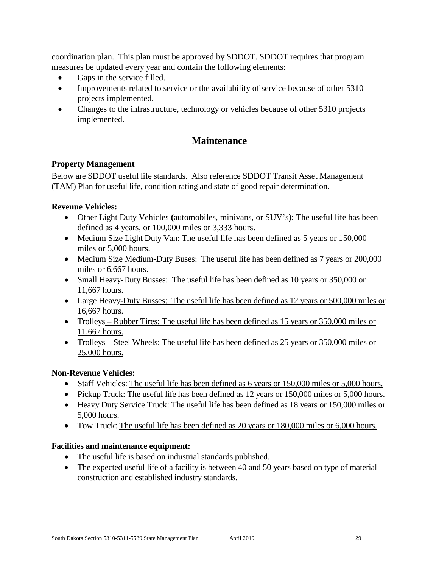coordination plan. This plan must be approved by SDDOT. SDDOT requires that program measures be updated every year and contain the following elements:

- Gaps in the service filled.
- Improvements related to service or the availability of service because of other 5310 projects implemented.
- Changes to the infrastructure, technology or vehicles because of other 5310 projects implemented.

# **Maintenance**

### <span id="page-28-1"></span><span id="page-28-0"></span>**Property Management**

Below are SDDOT useful life standards. Also reference SDDOT Transit Asset Management (TAM) Plan for useful life, condition rating and state of good repair determination.

# **Revenue Vehicles:**

- Other Light Duty Vehicles **(**automobiles, minivans, or SUV's**)**: The useful life has been defined as 4 years, or 100,000 miles or 3,333 hours.
- Medium Size Light Duty Van: The useful life has been defined as 5 years or 150,000 miles or 5,000 hours.
- Medium Size Medium-Duty Buses: The useful life has been defined as 7 years or 200,000 miles or 6,667 hours.
- Small Heavy-Duty Busses: The useful life has been defined as 10 years or 350,000 or 11,667 hours.
- Large Heavy-Duty Busses: The useful life has been defined as 12 years or 500,000 miles or 16,667 hours.
- Trolleys Rubber Tires: The useful life has been defined as 15 years or 350,000 miles or 11,667 hours.
- Trolleys Steel Wheels: The useful life has been defined as 25 years or 350,000 miles or 25,000 hours.

### **Non-Revenue Vehicles:**

- Staff Vehicles: The useful life has been defined as 6 years or 150,000 miles or 5,000 hours.
- Pickup Truck: The useful life has been defined as 12 years or 150,000 miles or 5,000 hours.
- Heavy Duty Service Truck: The useful life has been defined as 18 years or 150,000 miles or 5,000 hours.
- Tow Truck: The useful life has been defined as 20 years or 180,000 miles or 6,000 hours.

### **Facilities and maintenance equipment:**

- The useful life is based on industrial standards published.
- The expected useful life of a facility is between 40 and 50 years based on type of material construction and established industry standards.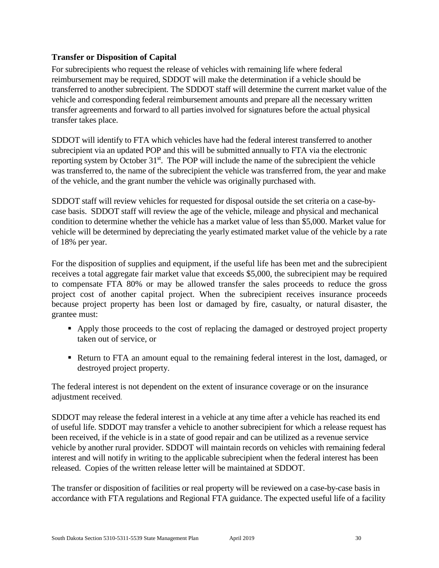### <span id="page-29-0"></span>**Transfer or Disposition of Capital**

For subrecipients who request the release of vehicles with remaining life where federal reimbursement may be required, SDDOT will make the determination if a vehicle should be transferred to another subrecipient. The SDDOT staff will determine the current market value of the vehicle and corresponding federal reimbursement amounts and prepare all the necessary written transfer agreements and forward to all parties involved for signatures before the actual physical transfer takes place.

SDDOT will identify to FTA which vehicles have had the federal interest transferred to another subrecipient via an updated POP and this will be submitted annually to FTA via the electronic reporting system by October 31<sup>st</sup>. The POP will include the name of the subrecipient the vehicle was transferred to, the name of the subrecipient the vehicle was transferred from, the year and make of the vehicle, and the grant number the vehicle was originally purchased with.

SDDOT staff will review vehicles for requested for disposal outside the set criteria on a case-bycase basis. SDDOT staff will review the age of the vehicle, mileage and physical and mechanical condition to determine whether the vehicle has a market value of less than \$5,000. Market value for vehicle will be determined by depreciating the yearly estimated market value of the vehicle by a rate of 18% per year.

For the disposition of supplies and equipment, if the useful life has been met and the subrecipient receives a total aggregate fair market value that exceeds \$5,000, the subrecipient may be required to compensate FTA 80% or may be allowed transfer the sales proceeds to reduce the gross project cost of another capital project. When the subrecipient receives insurance proceeds because project property has been lost or damaged by fire, casualty, or natural disaster, the grantee must:

- Apply those proceeds to the cost of replacing the damaged or destroyed project property taken out of service, or
- Return to FTA an amount equal to the remaining federal interest in the lost, damaged, or destroyed project property.

The federal interest is not dependent on the extent of insurance coverage or on the insurance adjustment received.

SDDOT may release the federal interest in a vehicle at any time after a vehicle has reached its end of useful life. SDDOT may transfer a vehicle to another subrecipient for which a release request has been received, if the vehicle is in a state of good repair and can be utilized as a revenue service vehicle by another rural provider. SDDOT will maintain records on vehicles with remaining federal interest and will notify in writing to the applicable subrecipient when the federal interest has been released. Copies of the written release letter will be maintained at SDDOT.

The transfer or disposition of facilities or real property will be reviewed on a case-by-case basis in accordance with FTA regulations and Regional FTA guidance. The expected useful life of a facility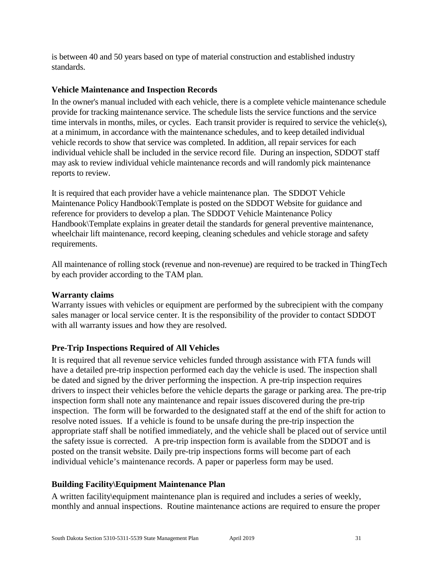is between 40 and 50 years based on type of material construction and established industry standards.

### <span id="page-30-0"></span>**Vehicle Maintenance and Inspection Records**

In the owner's manual included with each vehicle, there is a complete vehicle maintenance schedule provide for tracking maintenance service. The schedule lists the service functions and the service time intervals in months, miles, or cycles. Each transit provider is required to service the vehicle(s), at a minimum, in accordance with the maintenance schedules, and to keep detailed individual vehicle records to show that service was completed. In addition, all repair services for each individual vehicle shall be included in the service record file. During an inspection, SDDOT staff may ask to review individual vehicle maintenance records and will randomly pick maintenance reports to review.

It is required that each provider have a vehicle maintenance plan. The SDDOT Vehicle Maintenance Policy Handbook\Template is posted on the SDDOT Website for guidance and reference for providers to develop a plan. The SDDOT Vehicle Maintenance Policy Handbook\Template explains in greater detail the standards for general preventive maintenance, wheelchair lift maintenance, record keeping, cleaning schedules and vehicle storage and safety requirements.

All maintenance of rolling stock (revenue and non-revenue) are required to be tracked in ThingTech by each provider according to the TAM plan.

#### <span id="page-30-1"></span>**Warranty claims**

Warranty issues with vehicles or equipment are performed by the subrecipient with the company sales manager or local service center. It is the responsibility of the provider to contact SDDOT with all warranty issues and how they are resolved.

### <span id="page-30-2"></span>**Pre-Trip Inspections Required of All Vehicles**

It is required that all revenue service vehicles funded through assistance with FTA funds will have a detailed pre-trip inspection performed each day the vehicle is used. The inspection shall be dated and signed by the driver performing the inspection. A pre-trip inspection requires drivers to inspect their vehicles before the vehicle departs the garage or parking area. The pre-trip inspection form shall note any maintenance and repair issues discovered during the pre-trip inspection. The form will be forwarded to the designated staff at the end of the shift for action to resolve noted issues. If a vehicle is found to be unsafe during the pre-trip inspection the appropriate staff shall be notified immediately, and the vehicle shall be placed out of service until the safety issue is corrected. A pre-trip inspection form is available from the SDDOT and is posted on the transit website. Daily pre-trip inspections forms will become part of each individual vehicle's maintenance records. A paper or paperless form may be used.

### <span id="page-30-3"></span>**Building Facility\Equipment Maintenance Plan**

A written facility\equipment maintenance plan is required and includes a series of weekly, monthly and annual inspections. Routine maintenance actions are required to ensure the proper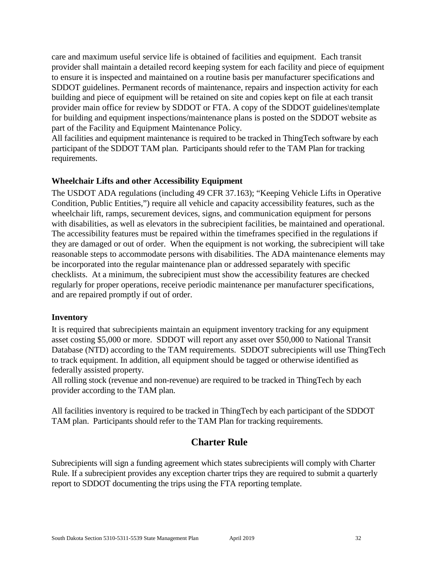care and maximum useful service life is obtained of facilities and equipment. Each transit provider shall maintain a detailed record keeping system for each facility and piece of equipment to ensure it is inspected and maintained on a routine basis per manufacturer specifications and SDDOT guidelines. Permanent records of maintenance, repairs and inspection activity for each building and piece of equipment will be retained on site and copies kept on file at each transit provider main office for review by SDDOT or FTA. A copy of the SDDOT guidelines\template for building and equipment inspections/maintenance plans is posted on the SDDOT website as part of the Facility and Equipment Maintenance Policy.

All facilities and equipment maintenance is required to be tracked in ThingTech software by each participant of the SDDOT TAM plan. Participants should refer to the TAM Plan for tracking requirements.

#### <span id="page-31-0"></span>**Wheelchair Lifts and other Accessibility Equipment**

The USDOT ADA regulations (including 49 CFR 37.163); "Keeping Vehicle Lifts in Operative Condition, Public Entities,") require all vehicle and capacity accessibility features, such as the wheelchair lift, ramps, securement devices, signs, and communication equipment for persons with disabilities, as well as elevators in the subrecipient facilities, be maintained and operational. The accessibility features must be repaired within the timeframes specified in the regulations if they are damaged or out of order. When the equipment is not working, the subrecipient will take reasonable steps to accommodate persons with disabilities. The ADA maintenance elements may be incorporated into the regular maintenance plan or addressed separately with specific checklists. At a minimum, the subrecipient must show the accessibility features are checked regularly for proper operations, receive periodic maintenance per manufacturer specifications, and are repaired promptly if out of order.

#### <span id="page-31-1"></span>**Inventory**

It is required that subrecipients maintain an equipment inventory tracking for any equipment asset costing \$5,000 or more. SDDOT will report any asset over \$50,000 to National Transit Database (NTD) according to the TAM requirements. SDDOT subrecipients will use ThingTech to track equipment. In addition, all equipment should be tagged or otherwise identified as federally assisted property.

All rolling stock (revenue and non-revenue) are required to be tracked in ThingTech by each provider according to the TAM plan.

All facilities inventory is required to be tracked in ThingTech by each participant of the SDDOT TAM plan. Participants should refer to the TAM Plan for tracking requirements.

# **Charter Rule**

<span id="page-31-2"></span>Subrecipients will sign a funding agreement which states subrecipients will comply with Charter Rule. If a subrecipient provides any exception charter trips they are required to submit a quarterly report to SDDOT documenting the trips using the FTA reporting template.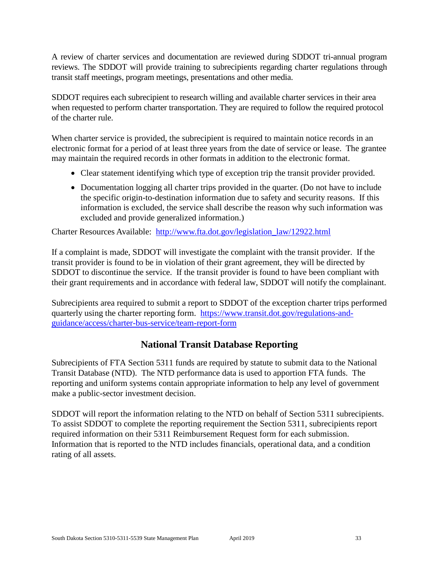A review of charter services and documentation are reviewed during SDDOT tri-annual program reviews. The SDDOT will provide training to subrecipients regarding charter regulations through transit staff meetings, program meetings, presentations and other media.

SDDOT requires each subrecipient to research willing and available charter services in their area when requested to perform charter transportation. They are required to follow the required protocol of the charter rule.

When charter service is provided, the subrecipient is required to maintain notice records in an electronic format for a period of at least three years from the date of service or lease. The grantee may maintain the required records in other formats in addition to the electronic format.

- Clear statement identifying which type of exception trip the transit provider provided.
- Documentation logging all charter trips provided in the quarter. (Do not have to include the specific origin-to-destination information due to safety and security reasons. If this information is excluded, the service shall describe the reason why such information was excluded and provide generalized information.)

Charter Resources Available: [http://www.fta.dot.gov/legislation\\_law/12922.html](http://www.fta.dot.gov/legislation_law/12922.html)

If a complaint is made, SDDOT will investigate the complaint with the transit provider. If the transit provider is found to be in violation of their grant agreement, they will be directed by SDDOT to discontinue the service. If the transit provider is found to have been compliant with their grant requirements and in accordance with federal law, SDDOT will notify the complainant.

Subrecipients area required to submit a report to SDDOT of the exception charter trips performed quarterly using the charter reporting form. [https://www.transit.dot.gov/regulations-and](https://www.transit.dot.gov/regulations-and-guidance/access/charter-bus-service/team-report-form)[guidance/access/charter-bus-service/team-report-form](https://www.transit.dot.gov/regulations-and-guidance/access/charter-bus-service/team-report-form)

# **National Transit Database Reporting**

<span id="page-32-0"></span>Subrecipients of FTA Section 5311 funds are required by statute to submit data to the National Transit Database (NTD). The NTD performance data is used to apportion FTA funds. The reporting and uniform systems contain appropriate information to help any level of government make a public-sector investment decision.

SDDOT will report the information relating to the NTD on behalf of Section 5311 subrecipients. To assist SDDOT to complete the reporting requirement the Section 5311, subrecipients report required information on their 5311 Reimbursement Request form for each submission. Information that is reported to the NTD includes financials, operational data, and a condition rating of all assets.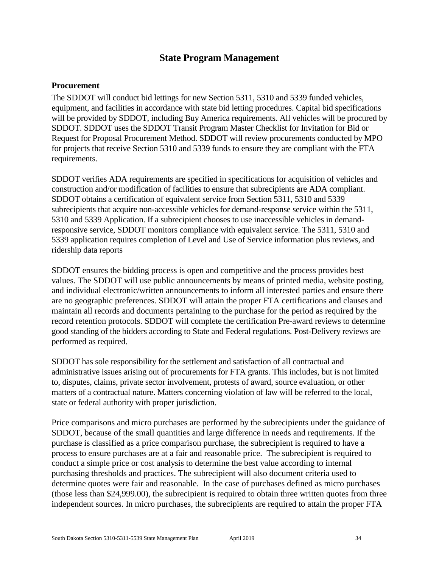# **State Program Management**

#### <span id="page-33-1"></span><span id="page-33-0"></span>**Procurement**

The SDDOT will conduct bid lettings for new Section 5311, 5310 and 5339 funded vehicles, equipment, and facilities in accordance with state bid letting procedures. Capital bid specifications will be provided by SDDOT, including Buy America requirements. All vehicles will be procured by SDDOT. SDDOT uses the SDDOT Transit Program Master Checklist for Invitation for Bid or Request for Proposal Procurement Method. SDDOT will review procurements conducted by MPO for projects that receive Section 5310 and 5339 funds to ensure they are compliant with the FTA requirements.

SDDOT verifies ADA requirements are specified in specifications for acquisition of vehicles and construction and/or modification of facilities to ensure that subrecipients are ADA compliant. SDDOT obtains a certification of equivalent service from Section 5311, 5310 and 5339 subrecipients that acquire non-accessible vehicles for demand-response service within the 5311, 5310 and 5339 Application. If a subrecipient chooses to use inaccessible vehicles in demandresponsive service, SDDOT monitors compliance with equivalent service. The 5311, 5310 and 5339 application requires completion of Level and Use of Service information plus reviews, and ridership data reports

SDDOT ensures the bidding process is open and competitive and the process provides best values. The SDDOT will use public announcements by means of printed media, website posting, and individual electronic/written announcements to inform all interested parties and ensure there are no geographic preferences. SDDOT will attain the proper FTA certifications and clauses and maintain all records and documents pertaining to the purchase for the period as required by the record retention protocols. SDDOT will complete the certification Pre-award reviews to determine good standing of the bidders according to State and Federal regulations. Post-Delivery reviews are performed as required.

SDDOT has sole responsibility for the settlement and satisfaction of all contractual and administrative issues arising out of procurements for FTA grants. This includes, but is not limited to, disputes, claims, private sector involvement, protests of award, source evaluation, or other matters of a contractual nature. Matters concerning violation of law will be referred to the local, state or federal authority with proper jurisdiction.

Price comparisons and micro purchases are performed by the subrecipients under the guidance of SDDOT, because of the small quantities and large difference in needs and requirements. If the purchase is classified as a price comparison purchase, the subrecipient is required to have a process to ensure purchases are at a fair and reasonable price. The subrecipient is required to conduct a simple price or cost analysis to determine the best value according to internal purchasing thresholds and practices. The subrecipient will also document criteria used to determine quotes were fair and reasonable. In the case of purchases defined as micro purchases (those less than \$24,999.00), the subrecipient is required to obtain three written quotes from three independent sources. In micro purchases, the subrecipients are required to attain the proper FTA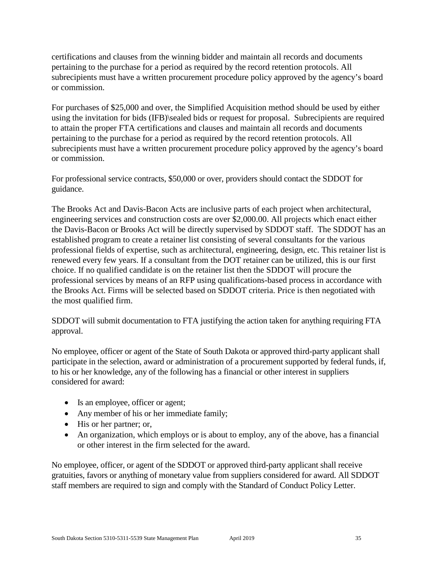certifications and clauses from the winning bidder and maintain all records and documents pertaining to the purchase for a period as required by the record retention protocols. All subrecipients must have a written procurement procedure policy approved by the agency's board or commission.

For purchases of \$25,000 and over, the Simplified Acquisition method should be used by either using the invitation for bids (IFB)\sealed bids or request for proposal. Subrecipients are required to attain the proper FTA certifications and clauses and maintain all records and documents pertaining to the purchase for a period as required by the record retention protocols. All subrecipients must have a written procurement procedure policy approved by the agency's board or commission.

For professional service contracts, \$50,000 or over, providers should contact the SDDOT for guidance.

The Brooks Act and Davis-Bacon Acts are inclusive parts of each project when architectural, engineering services and construction costs are over \$2,000.00. All projects which enact either the Davis-Bacon or Brooks Act will be directly supervised by SDDOT staff. The SDDOT has an established program to create a retainer list consisting of several consultants for the various professional fields of expertise, such as architectural, engineering, design, etc. This retainer list is renewed every few years. If a consultant from the DOT retainer can be utilized, this is our first choice. If no qualified candidate is on the retainer list then the SDDOT will procure the professional services by means of an RFP using qualifications-based process in accordance with the Brooks Act. Firms will be selected based on SDDOT criteria. Price is then negotiated with the most qualified firm.

SDDOT will submit documentation to FTA justifying the action taken for anything requiring FTA approval.

No employee, officer or agent of the State of South Dakota or approved third-party applicant shall participate in the selection, award or administration of a procurement supported by federal funds, if, to his or her knowledge, any of the following has a financial or other interest in suppliers considered for award:

- Is an employee, officer or agent;
- Any member of his or her immediate family;
- His or her partner; or,
- An organization, which employs or is about to employ, any of the above, has a financial or other interest in the firm selected for the award.

No employee, officer, or agent of the SDDOT or approved third-party applicant shall receive gratuities, favors or anything of monetary value from suppliers considered for award. All SDDOT staff members are required to sign and comply with the Standard of Conduct Policy Letter.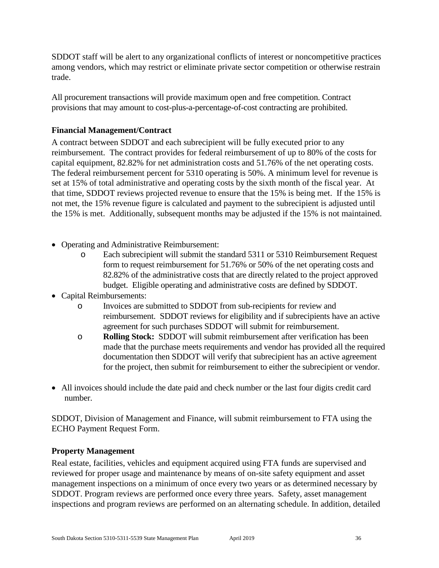SDDOT staff will be alert to any organizational conflicts of interest or noncompetitive practices among vendors, which may restrict or eliminate private sector competition or otherwise restrain trade.

All procurement transactions will provide maximum open and free competition. Contract provisions that may amount to cost-plus-a-percentage-of-cost contracting are prohibited.

# <span id="page-35-0"></span>**Financial Management/Contract**

A contract between SDDOT and each subrecipient will be fully executed prior to any reimbursement. The contract provides for federal reimbursement of up to 80% of the costs for capital equipment, 82.82% for net administration costs and 51.76% of the net operating costs. The federal reimbursement percent for 5310 operating is 50%. A minimum level for revenue is set at 15% of total administrative and operating costs by the sixth month of the fiscal year. At that time, SDDOT reviews projected revenue to ensure that the 15% is being met. If the 15% is not met, the 15% revenue figure is calculated and payment to the subrecipient is adjusted until the 15% is met. Additionally, subsequent months may be adjusted if the 15% is not maintained.

- Operating and Administrative Reimbursement:
	- o Each subrecipient will submit the standard 5311 or 5310 Reimbursement Request form to request reimbursement for 51.76% or 50% of the net operating costs and 82.82% of the administrative costs that are directly related to the project approved budget. Eligible operating and administrative costs are defined by SDDOT.
- Capital Reimbursements:
	- o Invoices are submitted to SDDOT from sub-recipients for review and reimbursement. SDDOT reviews for eligibility and if subrecipients have an active agreement for such purchases SDDOT will submit for reimbursement.
	- o **Rolling Stock:** SDDOT will submit reimbursement after verification has been made that the purchase meets requirements and vendor has provided all the required documentation then SDDOT will verify that subrecipient has an active agreement for the project, then submit for reimbursement to either the subrecipient or vendor.
- All invoices should include the date paid and check number or the last four digits credit card number.

SDDOT, Division of Management and Finance, will submit reimbursement to FTA using the ECHO Payment Request Form.

### <span id="page-35-1"></span>**Property Management**

Real estate, facilities, vehicles and equipment acquired using FTA funds are supervised and reviewed for proper usage and maintenance by means of on-site safety equipment and asset management inspections on a minimum of once every two years or as determined necessary by SDDOT. Program reviews are performed once every three years. Safety, asset management inspections and program reviews are performed on an alternating schedule. In addition, detailed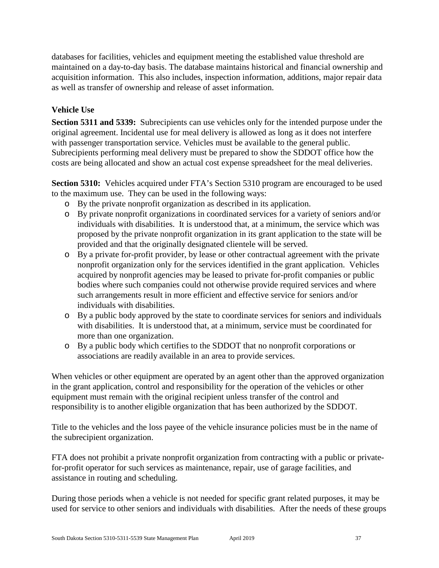databases for facilities, vehicles and equipment meeting the established value threshold are maintained on a day-to-day basis. The database maintains historical and financial ownership and acquisition information. This also includes, inspection information, additions, major repair data as well as transfer of ownership and release of asset information.

# <span id="page-36-0"></span>**Vehicle Use**

**Section 5311 and 5339:** Subrecipients can use vehicles only for the intended purpose under the original agreement. Incidental use for meal delivery is allowed as long as it does not interfere with passenger transportation service. Vehicles must be available to the general public. Subrecipients performing meal delivery must be prepared to show the SDDOT office how the costs are being allocated and show an actual cost expense spreadsheet for the meal deliveries.

**Section 5310:** Vehicles acquired under FTA's Section 5310 program are encouraged to be used to the maximum use. They can be used in the following ways:

- o By the private nonprofit organization as described in its application.
- o By private nonprofit organizations in coordinated services for a variety of seniors and/or individuals with disabilities. It is understood that, at a minimum, the service which was proposed by the private nonprofit organization in its grant application to the state will be provided and that the originally designated clientele will be served.
- o By a private for-profit provider, by lease or other contractual agreement with the private nonprofit organization only for the services identified in the grant application. Vehicles acquired by nonprofit agencies may be leased to private for-profit companies or public bodies where such companies could not otherwise provide required services and where such arrangements result in more efficient and effective service for seniors and/or individuals with disabilities.
- o By a public body approved by the state to coordinate services for seniors and individuals with disabilities. It is understood that, at a minimum, service must be coordinated for more than one organization.
- o By a public body which certifies to the SDDOT that no nonprofit corporations or associations are readily available in an area to provide services.

When vehicles or other equipment are operated by an agent other than the approved organization in the grant application, control and responsibility for the operation of the vehicles or other equipment must remain with the original recipient unless transfer of the control and responsibility is to another eligible organization that has been authorized by the SDDOT.

Title to the vehicles and the loss payee of the vehicle insurance policies must be in the name of the subrecipient organization.

FTA does not prohibit a private nonprofit organization from contracting with a public or privatefor-profit operator for such services as maintenance, repair, use of garage facilities, and assistance in routing and scheduling.

During those periods when a vehicle is not needed for specific grant related purposes, it may be used for service to other seniors and individuals with disabilities. After the needs of these groups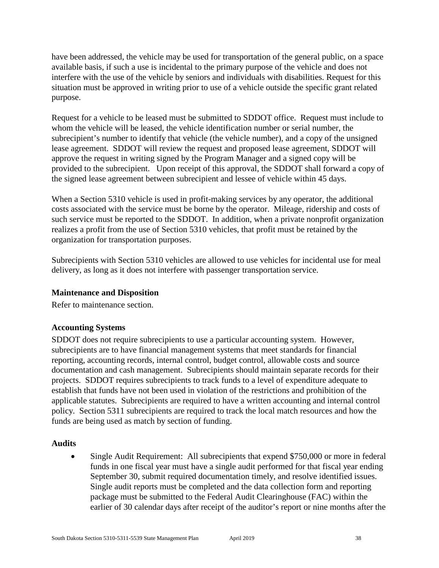have been addressed, the vehicle may be used for transportation of the general public, on a space available basis, if such a use is incidental to the primary purpose of the vehicle and does not interfere with the use of the vehicle by seniors and individuals with disabilities. Request for this situation must be approved in writing prior to use of a vehicle outside the specific grant related purpose.

Request for a vehicle to be leased must be submitted to SDDOT office. Request must include to whom the vehicle will be leased, the vehicle identification number or serial number, the subrecipient's number to identify that vehicle (the vehicle number), and a copy of the unsigned lease agreement. SDDOT will review the request and proposed lease agreement, SDDOT will approve the request in writing signed by the Program Manager and a signed copy will be provided to the subrecipient. Upon receipt of this approval, the SDDOT shall forward a copy of the signed lease agreement between subrecipient and lessee of vehicle within 45 days.

When a Section 5310 vehicle is used in profit-making services by any operator, the additional costs associated with the service must be borne by the operator. Mileage, ridership and costs of such service must be reported to the SDDOT. In addition, when a private nonprofit organization realizes a profit from the use of Section 5310 vehicles, that profit must be retained by the organization for transportation purposes.

Subrecipients with Section 5310 vehicles are allowed to use vehicles for incidental use for meal delivery, as long as it does not interfere with passenger transportation service.

### <span id="page-37-0"></span>**Maintenance and Disposition**

Refer to maintenance section.

### <span id="page-37-1"></span>**Accounting Systems**

SDDOT does not require subrecipients to use a particular accounting system. However, subrecipients are to have financial management systems that meet standards for financial reporting, accounting records, internal control, budget control, allowable costs and source documentation and cash management. Subrecipients should maintain separate records for their projects. SDDOT requires subrecipients to track funds to a level of expenditure adequate to establish that funds have not been used in violation of the restrictions and prohibition of the applicable statutes. Subrecipients are required to have a written accounting and internal control policy. Section 5311 subrecipients are required to track the local match resources and how the funds are being used as match by section of funding.

#### <span id="page-37-2"></span>**Audits**

• Single Audit Requirement: All subrecipients that expend \$750,000 or more in federal funds in one fiscal year must have a single audit performed for that fiscal year ending September 30, submit required documentation timely, and resolve identified issues. Single audit reports must be completed and the data collection form and reporting package must be submitted to the Federal Audit Clearinghouse (FAC) within the earlier of 30 calendar days after receipt of the auditor's report or nine months after the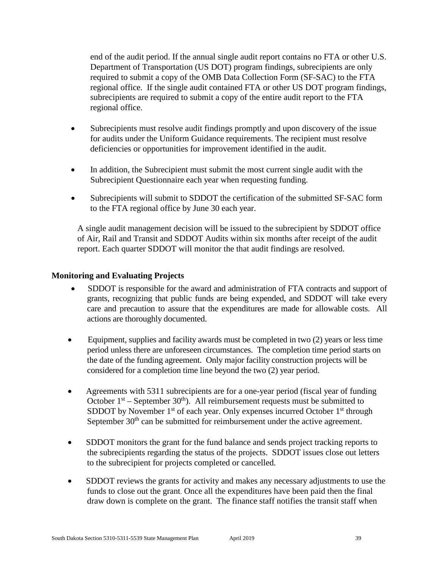end of the audit period. If the annual single audit report contains no FTA or other U.S. Department of Transportation (US DOT) program findings, subrecipients are only required to submit a copy of the OMB Data Collection Form (SF-SAC) to the FTA regional office. If the single audit contained FTA or other US DOT program findings, subrecipients are required to submit a copy of the entire audit report to the FTA regional office.

- Subrecipients must resolve audit findings promptly and upon discovery of the issue for audits under the Uniform Guidance requirements. The recipient must resolve deficiencies or opportunities for improvement identified in the audit.
- In addition, the Subrecipient must submit the most current single audit with the Subrecipient Questionnaire each year when requesting funding.
- Subrecipients will submit to SDDOT the certification of the submitted SF-SAC form to the FTA regional office by June 30 each year.

A single audit management decision will be issued to the subrecipient by SDDOT office of Air, Rail and Transit and SDDOT Audits within six months after receipt of the audit report. Each quarter SDDOT will monitor the that audit findings are resolved.

#### <span id="page-38-0"></span>**Monitoring and Evaluating Projects**

- SDDOT is responsible for the award and administration of FTA contracts and support of grants, recognizing that public funds are being expended, and SDDOT will take every care and precaution to assure that the expenditures are made for allowable costs. All actions are thoroughly documented.
- Equipment, supplies and facility awards must be completed in two (2) years or less time period unless there are unforeseen circumstances. The completion time period starts on the date of the funding agreement. Only major facility construction projects will be considered for a completion time line beyond the two (2) year period.
- Agreements with 5311 subrecipients are for a one-year period (fiscal year of funding October  $1<sup>st</sup>$  – September 30<sup>th</sup>). All reimbursement requests must be submitted to SDDOT by November  $1<sup>st</sup>$  of each year. Only expenses incurred October  $1<sup>st</sup>$  through September  $30<sup>th</sup>$  can be submitted for reimbursement under the active agreement.
- SDDOT monitors the grant for the fund balance and sends project tracking reports to the subrecipients regarding the status of the projects. SDDOT issues close out letters to the subrecipient for projects completed or cancelled.
- SDDOT reviews the grants for activity and makes any necessary adjustments to use the funds to close out the grant. Once all the expenditures have been paid then the final draw down is complete on the grant. The finance staff notifies the transit staff when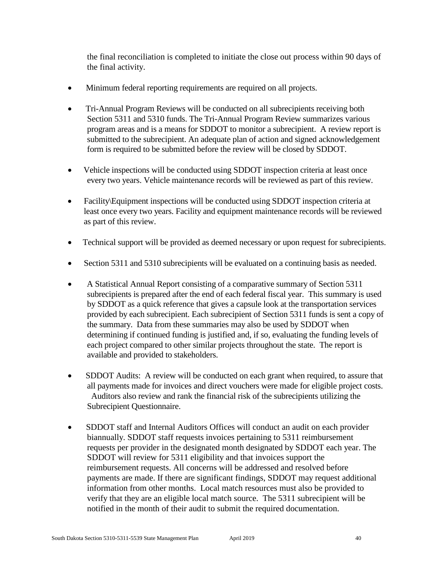the final reconciliation is completed to initiate the close out process within 90 days of the final activity.

- Minimum federal reporting requirements are required on all projects.
- Tri-Annual Program Reviews will be conducted on all subrecipients receiving both Section 5311 and 5310 funds. The Tri-Annual Program Review summarizes various program areas and is a means for SDDOT to monitor a subrecipient. A review report is submitted to the subrecipient. An adequate plan of action and signed acknowledgement form is required to be submitted before the review will be closed by SDDOT.
- Vehicle inspections will be conducted using SDDOT inspection criteria at least once every two years. Vehicle maintenance records will be reviewed as part of this review.
- Facility\Equipment inspections will be conducted using SDDOT inspection criteria at least once every two years. Facility and equipment maintenance records will be reviewed as part of this review.
- Technical support will be provided as deemed necessary or upon request for subrecipients.
- Section 5311 and 5310 subrecipients will be evaluated on a continuing basis as needed.
- A Statistical Annual Report consisting of a comparative summary of Section 5311 subrecipients is prepared after the end of each federal fiscal year. This summary is used by SDDOT as a quick reference that gives a capsule look at the transportation services provided by each subrecipient. Each subrecipient of Section 5311 funds is sent a copy of the summary. Data from these summaries may also be used by SDDOT when determining if continued funding is justified and, if so, evaluating the funding levels of each project compared to other similar projects throughout the state. The report is available and provided to stakeholders.
- SDDOT Audits: A review will be conducted on each grant when required, to assure that all payments made for invoices and direct vouchers were made for eligible project costs. Auditors also review and rank the financial risk of the subrecipients utilizing the Subrecipient Questionnaire.
- SDDOT staff and Internal Auditors Offices will conduct an audit on each provider biannually. SDDOT staff requests invoices pertaining to 5311 reimbursement requests per provider in the designated month designated by SDDOT each year. The SDDOT will review for 5311 eligibility and that invoices support the reimbursement requests. All concerns will be addressed and resolved before payments are made. If there are significant findings, SDDOT may request additional information from other months. Local match resources must also be provided to verify that they are an eligible local match source. The 5311 subrecipient will be notified in the month of their audit to submit the required documentation.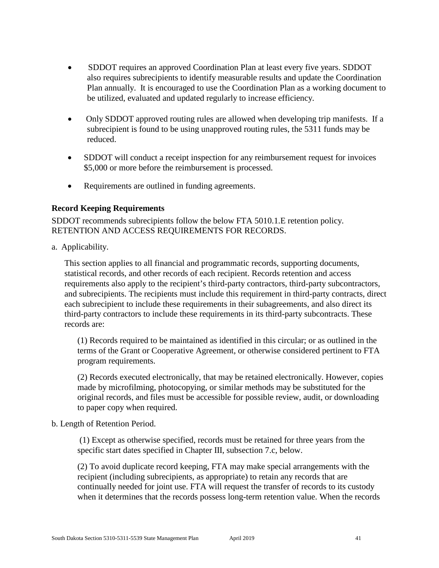- SDDOT requires an approved Coordination Plan at least every five years. SDDOT also requires subrecipients to identify measurable results and update the Coordination Plan annually. It is encouraged to use the Coordination Plan as a working document to be utilized, evaluated and updated regularly to increase efficiency.
- Only SDDOT approved routing rules are allowed when developing trip manifests. If a subrecipient is found to be using unapproved routing rules, the 5311 funds may be reduced.
- SDDOT will conduct a receipt inspection for any reimbursement request for invoices \$5,000 or more before the reimbursement is processed.
- Requirements are outlined in funding agreements.

### <span id="page-40-0"></span>**Record Keeping Requirements**

SDDOT recommends subrecipients follow the below FTA 5010.1.E retention policy. RETENTION AND ACCESS REQUIREMENTS FOR RECORDS.

a. Applicability.

This section applies to all financial and programmatic records, supporting documents, statistical records, and other records of each recipient. Records retention and access requirements also apply to the recipient's third-party contractors, third-party subcontractors, and subrecipients. The recipients must include this requirement in third-party contracts, direct each subrecipient to include these requirements in their subagreements, and also direct its third-party contractors to include these requirements in its third-party subcontracts. These records are:

(1) Records required to be maintained as identified in this circular; or as outlined in the terms of the Grant or Cooperative Agreement, or otherwise considered pertinent to FTA program requirements.

(2) Records executed electronically, that may be retained electronically. However, copies made by microfilming, photocopying, or similar methods may be substituted for the original records, and files must be accessible for possible review, audit, or downloading to paper copy when required.

### b. Length of Retention Period.

(1) Except as otherwise specified, records must be retained for three years from the specific start dates specified in Chapter III, subsection 7.c, below.

(2) To avoid duplicate record keeping, FTA may make special arrangements with the recipient (including subrecipients, as appropriate) to retain any records that are continually needed for joint use. FTA will request the transfer of records to its custody when it determines that the records possess long-term retention value. When the records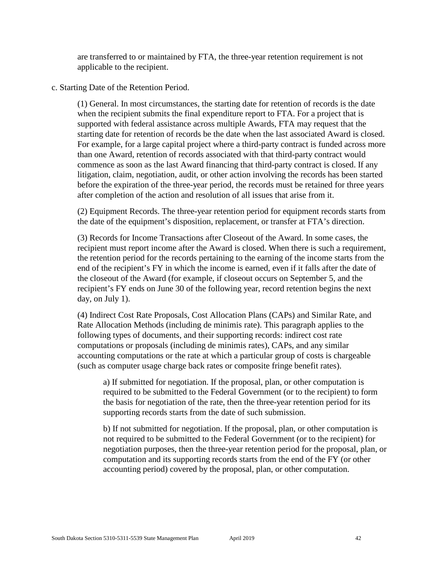are transferred to or maintained by FTA, the three-year retention requirement is not applicable to the recipient.

c. Starting Date of the Retention Period.

(1) General. In most circumstances, the starting date for retention of records is the date when the recipient submits the final expenditure report to FTA. For a project that is supported with federal assistance across multiple Awards, FTA may request that the starting date for retention of records be the date when the last associated Award is closed. For example, for a large capital project where a third-party contract is funded across more than one Award, retention of records associated with that third-party contract would commence as soon as the last Award financing that third-party contract is closed. If any litigation, claim, negotiation, audit, or other action involving the records has been started before the expiration of the three-year period, the records must be retained for three years after completion of the action and resolution of all issues that arise from it.

(2) Equipment Records. The three-year retention period for equipment records starts from the date of the equipment's disposition, replacement, or transfer at FTA's direction.

(3) Records for Income Transactions after Closeout of the Award. In some cases, the recipient must report income after the Award is closed. When there is such a requirement, the retention period for the records pertaining to the earning of the income starts from the end of the recipient's FY in which the income is earned, even if it falls after the date of the closeout of the Award (for example, if closeout occurs on September 5, and the recipient's FY ends on June 30 of the following year, record retention begins the next day, on July 1).

(4) Indirect Cost Rate Proposals, Cost Allocation Plans (CAPs) and Similar Rate, and Rate Allocation Methods (including de minimis rate). This paragraph applies to the following types of documents, and their supporting records: indirect cost rate computations or proposals (including de minimis rates), CAPs, and any similar accounting computations or the rate at which a particular group of costs is chargeable (such as computer usage charge back rates or composite fringe benefit rates).

a) If submitted for negotiation. If the proposal, plan, or other computation is required to be submitted to the Federal Government (or to the recipient) to form the basis for negotiation of the rate, then the three-year retention period for its supporting records starts from the date of such submission.

b) If not submitted for negotiation. If the proposal, plan, or other computation is not required to be submitted to the Federal Government (or to the recipient) for negotiation purposes, then the three-year retention period for the proposal, plan, or computation and its supporting records starts from the end of the FY (or other accounting period) covered by the proposal, plan, or other computation.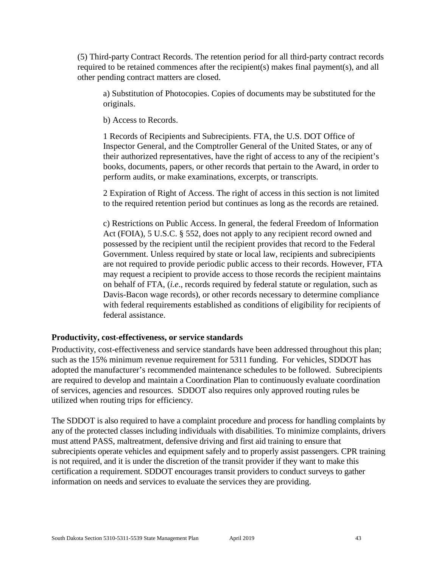(5) Third-party Contract Records. The retention period for all third-party contract records required to be retained commences after the recipient(s) makes final payment(s), and all other pending contract matters are closed.

a) Substitution of Photocopies. Copies of documents may be substituted for the originals.

b) Access to Records.

1 Records of Recipients and Subrecipients. FTA, the U.S. DOT Office of Inspector General, and the Comptroller General of the United States, or any of their authorized representatives, have the right of access to any of the recipient's books, documents, papers, or other records that pertain to the Award, in order to perform audits, or make examinations, excerpts, or transcripts.

2 Expiration of Right of Access. The right of access in this section is not limited to the required retention period but continues as long as the records are retained.

c) Restrictions on Public Access. In general, the federal Freedom of Information Act (FOIA), 5 U.S.C. § 552, does not apply to any recipient record owned and possessed by the recipient until the recipient provides that record to the Federal Government. Unless required by state or local law, recipients and subrecipients are not required to provide periodic public access to their records. However, FTA may request a recipient to provide access to those records the recipient maintains on behalf of FTA, (*i.e*., records required by federal statute or regulation, such as Davis-Bacon wage records), or other records necessary to determine compliance with federal requirements established as conditions of eligibility for recipients of federal assistance.

### <span id="page-42-0"></span>**Productivity, cost-effectiveness, or service standards**

Productivity, cost-effectiveness and service standards have been addressed throughout this plan; such as the 15% minimum revenue requirement for 5311 funding. For vehicles, SDDOT has adopted the manufacturer's recommended maintenance schedules to be followed. Subrecipients are required to develop and maintain a Coordination Plan to continuously evaluate coordination of services, agencies and resources. SDDOT also requires only approved routing rules be utilized when routing trips for efficiency.

The SDDOT is also required to have a complaint procedure and process for handling complaints by any of the protected classes including individuals with disabilities. To minimize complaints, drivers must attend PASS, maltreatment, defensive driving and first aid training to ensure that subrecipients operate vehicles and equipment safely and to properly assist passengers. CPR training is not required, and it is under the discretion of the transit provider if they want to make this certification a requirement. SDDOT encourages transit providers to conduct surveys to gather information on needs and services to evaluate the services they are providing.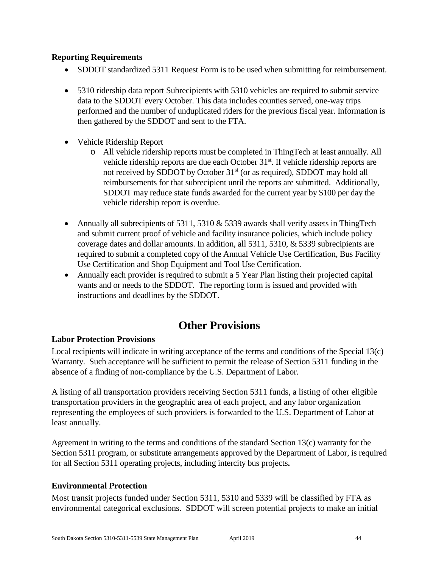### <span id="page-43-0"></span>**Reporting Requirements**

- SDDOT standardized 5311 Request Form is to be used when submitting for reimbursement.
- 5310 ridership data report Subrecipients with 5310 vehicles are required to submit service data to the SDDOT every October. This data includes counties served, one-way trips performed and the number of unduplicated riders for the previous fiscal year. Information is then gathered by the SDDOT and sent to the FTA.
- Vehicle Ridership Report
	- o All vehicle ridership reports must be completed in ThingTech at least annually. All vehicle ridership reports are due each October 31<sup>st</sup>. If vehicle ridership reports are not received by SDDOT by October 31<sup>st</sup> (or as required), SDDOT may hold all reimbursements for that subrecipient until the reports are submitted. Additionally, SDDOT may reduce state funds awarded for the current year by \$100 per day the vehicle ridership report is overdue.
- Annually all subrecipients of  $5311, 5310 \& 5339$  awards shall verify assets in ThingTech and submit current proof of vehicle and facility insurance policies, which include policy coverage dates and dollar amounts. In addition, all 5311, 5310, & 5339 subrecipients are required to submit a completed copy of the Annual Vehicle Use Certification, Bus Facility Use Certification and Shop Equipment and Tool Use Certification.
- Annually each provider is required to submit a 5 Year Plan listing their projected capital wants and or needs to the SDDOT. The reporting form is issued and provided with instructions and deadlines by the SDDOT.

# **Other Provisions**

### <span id="page-43-2"></span><span id="page-43-1"></span>**Labor Protection Provisions**

Local recipients will indicate in writing acceptance of the terms and conditions of the Special 13(c) Warranty. Such acceptance will be sufficient to permit the release of Section 5311 funding in the absence of a finding of non-compliance by the U.S. Department of Labor.

A listing of all transportation providers receiving Section 5311 funds, a listing of other eligible transportation providers in the geographic area of each project, and any labor organization representing the employees of such providers is forwarded to the U.S. Department of Labor at least annually.

Agreement in writing to the terms and conditions of the standard Section 13(c) warranty for the Section 5311 program, or substitute arrangements approved by the Department of Labor, is required for all Section 5311 operating projects, including intercity bus projects**.**

### <span id="page-43-3"></span>**Environmental Protection**

Most transit projects funded under Section 5311, 5310 and 5339 will be classified by FTA as environmental categorical exclusions. SDDOT will screen potential projects to make an initial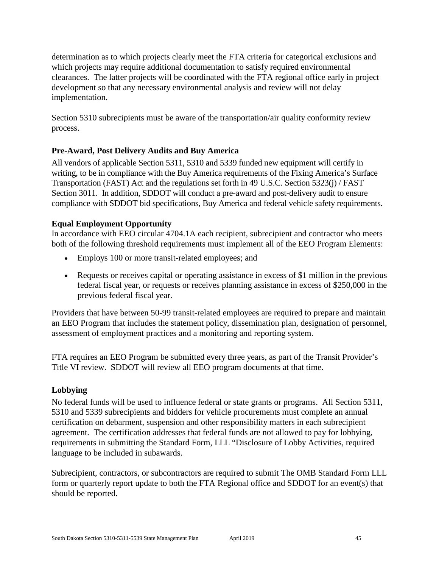determination as to which projects clearly meet the FTA criteria for categorical exclusions and which projects may require additional documentation to satisfy required environmental clearances. The latter projects will be coordinated with the FTA regional office early in project development so that any necessary environmental analysis and review will not delay implementation.

Section 5310 subrecipients must be aware of the transportation/air quality conformity review process.

# <span id="page-44-0"></span>**Pre-Award, Post Delivery Audits and Buy America**

All vendors of applicable Section 5311, 5310 and 5339 funded new equipment will certify in writing, to be in compliance with the Buy America requirements of the Fixing America's Surface Transportation (FAST) Act and the regulations set forth in 49 U.S.C. Section 5323(j) / FAST Section 3011. In addition, SDDOT will conduct a pre-award and post-delivery audit to ensure compliance with SDDOT bid specifications, Buy America and federal vehicle safety requirements.

# <span id="page-44-1"></span>**Equal Employment Opportunity**

In accordance with EEO circular 4704.1A each recipient, subrecipient and contractor who meets both of the following threshold requirements must implement all of the EEO Program Elements:

- Employs 100 or more transit-related employees; and
- Requests or receives capital or operating assistance in excess of \$1 million in the previous federal fiscal year, or requests or receives planning assistance in excess of \$250,000 in the previous federal fiscal year.

Providers that have between 50-99 transit-related employees are required to prepare and maintain an EEO Program that includes the statement policy, dissemination plan, designation of personnel, assessment of employment practices and a monitoring and reporting system.

FTA requires an EEO Program be submitted every three years, as part of the Transit Provider's Title VI review. SDDOT will review all EEO program documents at that time.

# <span id="page-44-2"></span>**Lobbying**

No federal funds will be used to influence federal or state grants or programs. All Section 5311, 5310 and 5339 subrecipients and bidders for vehicle procurements must complete an annual certification on debarment, suspension and other responsibility matters in each subrecipient agreement. The certification addresses that federal funds are not allowed to pay for lobbying, requirements in submitting the Standard Form, LLL "Disclosure of Lobby Activities, required language to be included in subawards.

Subrecipient, contractors, or subcontractors are required to submit The OMB Standard Form LLL form or quarterly report update to both the FTA Regional office and SDDOT for an event(s) that should be reported.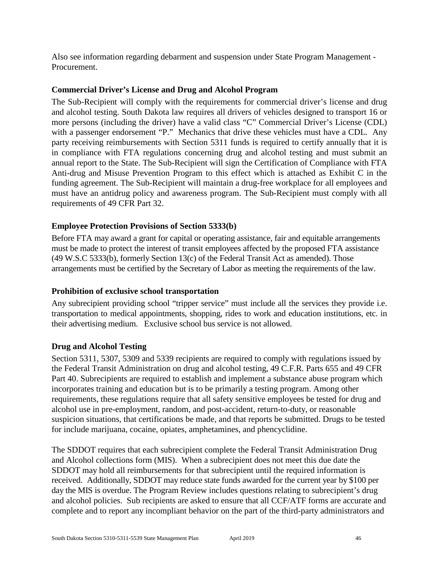Also see information regarding debarment and suspension under State Program Management - Procurement.

### <span id="page-45-0"></span>**Commercial Driver's License and Drug and Alcohol Program**

The Sub-Recipient will comply with the requirements for commercial driver's license and drug and alcohol testing. South Dakota law requires all drivers of vehicles designed to transport 16 or more persons (including the driver) have a valid class "C" Commercial Driver's License (CDL) with a passenger endorsement "P." Mechanics that drive these vehicles must have a CDL. Any party receiving reimbursements with Section 5311 funds is required to certify annually that it is in compliance with FTA regulations concerning drug and alcohol testing and must submit an annual report to the State. The Sub-Recipient will sign the Certification of Compliance with FTA Anti-drug and Misuse Prevention Program to this effect which is attached as Exhibit C in the funding agreement. The Sub-Recipient will maintain a drug-free workplace for all employees and must have an antidrug policy and awareness program. The Sub-Recipient must comply with all requirements of 49 CFR Part 32.

# <span id="page-45-1"></span>**Employee Protection Provisions of Section 5333(b)**

Before FTA may award a grant for capital or operating assistance, fair and equitable arrangements must be made to protect the interest of transit employees affected by the proposed FTA assistance (49 W.S.C 5333(b), formerly Section 13(c) of the Federal Transit Act as amended). Those arrangements must be certified by the Secretary of Labor as meeting the requirements of the law.

### <span id="page-45-2"></span>**Prohibition of exclusive school transportation**

Any subrecipient providing school "tripper service" must include all the services they provide i.e. transportation to medical appointments, shopping, rides to work and education institutions, etc. in their advertising medium. Exclusive school bus service is not allowed.

### <span id="page-45-3"></span>**Drug and Alcohol Testing**

Section 5311, 5307, 5309 and 5339 recipients are required to comply with regulations issued by the Federal Transit Administration on drug and alcohol testing, 49 C.F.R. Parts 655 and 49 CFR Part 40. Subrecipients are required to establish and implement a substance abuse program which incorporates training and education but is to be primarily a testing program. Among other requirements, these regulations require that all safety sensitive employees be tested for drug and alcohol use in pre-employment, random, and post-accident, return-to-duty, or reasonable suspicion situations, that certifications be made, and that reports be submitted. Drugs to be tested for include marijuana, cocaine, opiates, amphetamines, and phencyclidine.

The SDDOT requires that each subrecipient complete the Federal Transit Administration Drug and Alcohol collections form (MIS). When a subrecipient does not meet this due date the SDDOT may hold all reimbursements for that subrecipient until the required information is received. Additionally, SDDOT may reduce state funds awarded for the current year by \$100 per day the MIS is overdue. The Program Review includes questions relating to subrecipient's drug and alcohol policies. Sub recipients are asked to ensure that all CCF/ATF forms are accurate and complete and to report any incompliant behavior on the part of the third-party administrators and